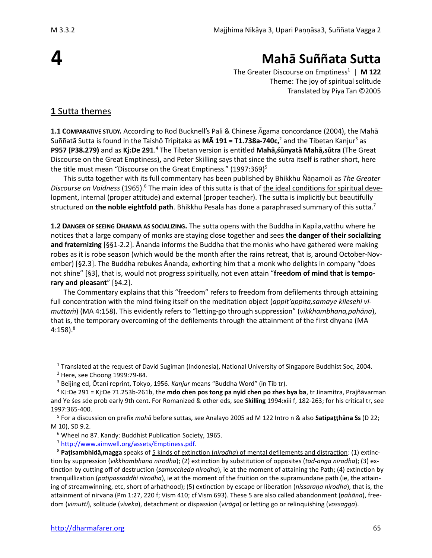# **4**

# **Mahā Suññata Sutta**

The Greater Discourse on Emptiness<sup>1</sup> | M 122 Theme: The joy of spiritual solitude Translated by Piya Tan ©2005

## **1** Sutta themes

**1.1 COMPARATIVE STUDY.** According to Rod Bucknell's Pali & Chinese Āgama concordance (2004), the Mahā Suññatā Sutta is found in the Taishō Tripiṭaka as **MĀ 191 = T1.738a-740c,** <sup>2</sup> and the Tibetan Kanjur<sup>3</sup> as **P957 (P38.279)** and as **Kj:De 291**. <sup>4</sup> The Tibetan version is entitled **Mahā,śūnyatā Mahā,sūtra** (The Great Discourse on the Great Emptiness)**,** and Peter Skilling says that since the sutra itself is rather short, here the title must mean "Discourse on the Great Emptiness."  $(1997:369)^5$ 

This sutta together with its full commentary has been published by Bhikkhu Ñāṇamoli as *The Greater Discourse on Voidness* (1965).<sup>6</sup> The main idea of this sutta is that of the ideal conditions for spiritual development, internal (proper attitude) and external (proper teacher). The sutta is implicitly but beautifully structured on **the noble eightfold path**. Bhikkhu Pesala has done a paraphrased summary of this sutta.<sup>7</sup>

**1.2 DANGER OF SEEING DHARMA AS SOCIALIZING.** The sutta opens with the Buddha in Kapila,vatthu where he notices that a large company of monks are staying close together and sees **the danger of their socializing and fraternizing** [§§1-2.2]. Ānanda informs the Buddha that the monks who have gathered were making robes as it is robe season (which would be the month after the rains retreat, that is, around October-November) [§2.3]. The Buddha rebukes Ānanda, exhorting him that a monk who delights in company "does not shine" [§3], that is, would not progress spiritually, not even attain "**freedom of mind that is temporary and pleasant**" [§4.2].

The Commentary explains that this "freedom" refers to freedom from defilements through attaining full concentration with the mind fixing itself on the meditation object (*appit'appita,samaye kilesehi vimuttaṁ*) (MA 4:158). This evidently refers to "letting-go through suppression" (*vikkhambhana,pahāna*), that is, the temporary overcoming of the defilements through the attainment of the first dhyana (MA  $4:158$ ).<sup>8</sup>

<sup>1</sup> Translated at the request of David Sugiman (Indonesia), National University of Singapore Buddhist Soc, 2004.

<sup>2</sup> Here, see Choong 1999:79-84.

<sup>3</sup> Beijing ed, Ōtani reprint, Tokyo, 1956. *Kanjur* means "Buddha Word" (in Tib tr).

<sup>4</sup> KJ:De 291 = Kj:De 71.253b-261b, the **mdo chen pos tong pa nyid chen po zhes bya ba**, tr Jinamitra, Prajñāvarman and Ye śes sde prob early 9th cent. For Romanized & other eds, see **Skilling** 1994:xiii f, 182-263; for his critical tr, see 1997:365-400.

<sup>5</sup> For a discussion on prefix *mahā* before suttas, see Analayo 2005 ad M 122 Intro n & also **Satipaṭṭhāna Ss** (D 22; M 10), SD 9.2.

<sup>6</sup> Wheel no 87. Kandy: Buddhist Publication Society, 1965.

<sup>7</sup> [http://www.aimwell.org/assets/Emptiness.pdf.](http://www.aimwell.org/assets/Voidness.pdf) 

<sup>8</sup> **Paṭisambhidā,magga** speaks of 5 kinds of extinction (*nirodha*) of mental defilements and distraction: (1) extinction by suppression (*vikkhambhana nirodha*); (2) extinction by substitution of opposites (*tad-aṅga nirodha*); (3) extinction by cutting off of destruction (*samuccheda nirodha*), ie at the moment of attaining the Path; (4) extinction by tranquillization (*paṭipassaddhi nirodha*), ie at the moment of the fruition on the supramundane path (ie, the attaining of streamwinning, etc, short of arhathood); (5) extinction by escape or liberation (*nissaraṇa nirodha*), that is, the attainment of nirvana (Pm 1:27, 220 f; Vism 410; cf Vism 693). These 5 are also called abandonment (*pahāna*), freedom (*vimutti*), solitude (*viveka*), detachment or dispassion (*virāga*) or letting go or relinquishing (*vossagga*).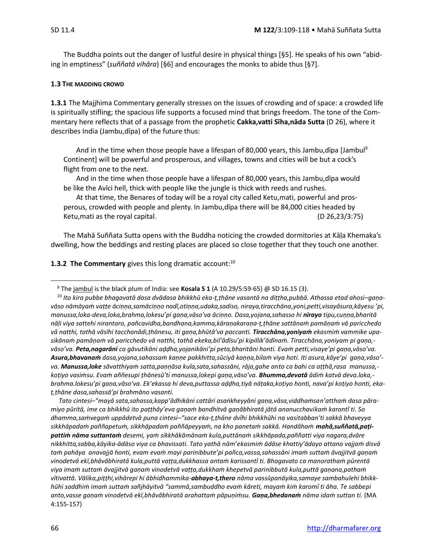The Buddha points out the danger of lustful desire in physical things [§5]. He speaks of his own "abiding in emptiness" (*suññatā vihāra*) [§6] and encourages the monks to abide thus [§7].

#### **1.3 THE MADDING CROWD**

**1.3.1** The Majjhima Commentary generally stresses on the issues of crowding and of space: a crowded life is spiritually stifling; the spacious life supports a focused mind that brings freedom. The tone of the Commentary here reflects that of a passage from the prophetic **Cakka,vatti Sīha,nāda Sutta** (D 26), where it describes India (Jambu,dīpa) of the future thus:

And in the time when those people have a lifespan of 80,000 years, this Jambu, dīpa [Jambul<sup>9</sup>] Continent] will be powerful and prosperous, and villages, towns and cities will be but a cock's flight from one to the next.

And in the time when those people have a lifespan of 80,000 years, this Jambu,dīpa would be like the Avīci hell, thick with people like the jungle is thick with reeds and rushes.

At that time, the Benares of today will be a royal city called Ketu,mati, powerful and prosperous, crowded with people and plenty. In Jambu,dīpa there will be 84,000 cities headed by Ketu, mati as the royal capital. The royal capital control of the royal capital control of the royal capital.

The Mahā Suññata Sutta opens with the Buddha noticing the crowded dormitories at Kāḷa Khemaka's dwelling, how the beddings and resting places are placed so close together that they touch one another.

**1.3.2 The Commentary** gives this long dramatic account:<sup>10</sup>

*Tato cintesi–"mayā sata,sahassa,kapp'ādhikāni cattāri asaṅkheyyāni gaṇa,vāsa,viddhaṁsan'atthaṁ dasa pāramiyo pūritā, ime ca bhikkhū ito paṭṭhāy'eva gaṇaṁ bandhitvā gaṇâbhiratā jātā ananucchavikaṁ karontî ti. So dhamma,saṁvegaṁ uppādetvā puna cintesi–"sace eka-ṭ,ṭhāne dvīhi bhikkhūhi na vasitabban'ti sakkā bhaveyya sikkhāpadaṁ paññapetuṁ, sikkhāpadaṁ paññāpeyyaṁ, na kho panetaṁ sakkā. Handâhaṁ mahā,suññatā,paṭipattiṁ nāma suttantaṁ desemi, yaṁ sikkhākāmānaṁ kula,puttānaṁ sikkhāpada,paññatti viya nagara,dvāre nikkhitta,sabba,kāyika-ādāso viya ca bhavissati. Tato yathā nām'ekasmiṁ ādāse khattiy'ādayo attano vajjaṁ disvā taṁ pahāya anavajjā honti, evam evaṁ mayi parinibbute'pi pañca,vassa,sahassāni imaṁ suttaṁ āvajjitvā gaṇaṁ vinodetvā ekī,bhāvâbhiratā kula,puttā vaṭṭa,dukkhassa antaṁ karissantî ti. Bhagavato ca manorathaṁ pūrentā viya imaṁ suttaṁ āvajjitvā gaṇaṁ vinodetvā vaṭṭa,dukkhaṁ khepetvā parinibbutā kula,puttā gaṇana,pathaṁ vītivattā. Vālika,piṭṭhi,vihārepi hi ābhidhammika-abhaya-t,thero nāma vasspanāyika,samaye sambahulehi bhikkhūhi saddhiṁ imaṁ suttaṁ sañjhāyitvā "sammā,sambuddho evaṁ kāreti, mayaṁ kiṁ karomî ti āha. Te sabbepi anto,vasse gaṇaṁ vinodetvā ekī,bhāvâbhiratā arahattaṁ pāpuṇiṁsu. Gaṇa,bhedanaṁ nāma idaṁ suttan ti.* (MA 4:155-157)

<sup>9</sup> The jambul is the black plum of India: see **Kosala S 1** (A 10.29/5:59-65) @ SD 16.15 (3).

<sup>10</sup> *Ito kira pubbe bhagavatā dasa dvādasa bhikkhū eka-ṭ,ṭhāne vasantā na diṭṭha,pubbā. Athassa etad ahosi–gaṇavāso nāmāyaṁ vaṭṭe āciṇṇa,samāciṇṇo nadī,otiṇṇa,udaka,sadiso, niraya,tiracchāna,yoni,petti,visayâsura,kāyesu 'pi, manussa,loka-deva,loka,brahma,lokesu'pi gaṇa,vāso'va āciṇṇo. Dasa,yojana,sahasso hi nirayo tipu,cuṇṇa,bharitā nāḷi viya sattehi nirantaro, pañcavidha,bandhana,kamma,kāraṇakaraṇa-ṭ,ṭhāne sattānaṁ pamāṇaṁ vā paricchedo vā natthi, tathā vāsīhi tacchanâdi,ṭhānesu, iti gaṇa,bhūtā'va paccanti. Tiracchāna,yoniyaṁ ekasmiṁ vammike upasikānaṁ pamāṇaṁ vā paricchedo vā natthi, tathā ekeka,bil'ādīsu'pi kipillik'ādīnaṁ. Tiracchāna,yoniyam pi gaṇa, vāso'va. Peta,nagarāni ca gāvutikāni aḍḍha,yojanikāni'pi peta,bharitāni honti. Evaṁ petti,visaye'pi gaṇa,vāso'va. Asura,bhavanaṁ dasa,yojana,sahassaṁ kaṇṇe pakkhitta,sūciyā kaṇṇa,bilaṁ viya hoti. Iti asura,kāye'pi gaṇa,vāso' va. Manussa,loke sāvatthiyaṁ satta,paṇṇāsa kula,sata,sahassāni, rāja,gahe anto ca bahi ca aṭṭhā,rasa manussa, koṭiyo vasiṁsu. Evaṁ aññesupi ṭhānesū'ti manussa,lokepi gaṇa,vāso'va. Bhumma,devatā ādiṁ katvā deva.loka, brahma.lokesu'pi gaṇa,vāso'va. Ek'ekassa hi deva,puttassa aḍḍha,tiyā nāṭaka,koṭiyo honti, nava'pi koṭiyo honti, ekaṭ,ṭhāne dasa,sahassā'pi brahmāno vasanti.*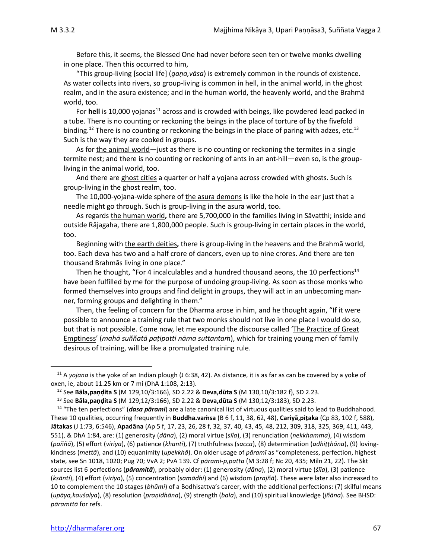Before this, it seems, the Blessed One had never before seen ten or twelve monks dwelling in one place. Then this occurred to him,

"This group-living [social life] (*gaṇa,vāsa*) is extremely common in the rounds of existence. As water collects into rivers, so group-living is common in hell, in the animal world, in the ghost realm, and in the asura existence; and in the human world, the heavenly world, and the Brahmā world, too.

For **hell** is 10,000 yojanas<sup>11</sup> across and is crowded with beings, like powdered lead packed in a tube. There is no counting or reckoning the beings in the place of torture of by the fivefold binding.<sup>12</sup> There is no counting or reckoning the beings in the place of paring with adzes, etc.<sup>13</sup> Such is the way they are cooked in groups.

As for the animal world—just as there is no counting or reckoning the termites in a single termite nest; and there is no counting or reckoning of ants in an ant-hill—even so, is the groupliving in the animal world, too.

And there are ghost cities a quarter or half a yojana across crowded with ghosts. Such is group-living in the ghost realm, too.

The 10,000-yojana-wide sphere of the asura demons is like the hole in the ear just that a needle might go through. Such is group-living in the asura world, too.

As regards the human world**,** there are 5,700,000 in the families living in Sāvatthi; inside and outside Rājagaha, there are 1,800,000 people. Such is group-living in certain places in the world, too.

Beginning with the earth deities**,** there is group-living in the heavens and the Brahmā world, too. Each deva has two and a half crore of dancers, even up to nine crores. And there are ten thousand Brahmās living in one place."

Then he thought, "For 4 incalculables and a hundred thousand aeons, the 10 perfections<sup>14</sup> have been fulfilled by me for the purpose of undoing group-living. As soon as those monks who formed themselves into groups and find delight in groups, they will act in an unbecoming manner, forming groups and delighting in them."

Then, the feeling of concern for the Dharma arose in him, and he thought again, "If it were possible to announce a training rule that two monks should not live in one place I would do so, but that is not possible. Come now, let me expound the discourse called 'The Practice of Great Emptiness' (*mahā suññatā paṭipatti nāma suttantaṁ*), which for training young men of family desirous of training, will be like a promulgated training rule.

<sup>11</sup> A *yojana* is the yoke of an Indian plough (J 6:38, 42). As distance, it is as far as can be covered by a yoke of oxen, ie, about 11.25 km or 7 mi (DhA 1:108, 2:13).

<sup>12</sup> See **Bāla,paṇḍita S** (M 129,10/3:166), SD 2.22 & **Deva,dūta S** (M 130,10/3:182 f), SD 2.23.

<sup>13</sup> See **Bāla,paṇḍita S** (M 129,12/3:166), SD 2.22 & **Deva,dūta S** (M 130,12/3:183), SD 2.23.

<sup>14</sup> "The ten perfections" (*dasa pārami*) are a late canonical list of virtuous qualities said to lead to Buddhahood. These 10 qualities, occurring frequently in **Buddha.vaṁsa** (B 6 f, 11, 38, 62, 48), **Cariyā,piṭaka** (Cp 83, 102 f, 588), **Jātakas** (J 1:73, 6:546), **Apadāna** (Ap 5 f, 17, 23, 26, 28 f, 32, 37, 40, 43, 45, 48, 212, 309, 318, 325, 369, 411, 443, 551), & DhA 1:84, are: (1) generosity (*dāna*), (2) moral virtue (*sīla*), (3) renunciation (*nekkhamma*), (4) wisdom (*paññā*), (5) effort (*viriya*), (6) patience (*khanti*), (7) truthfulness (*sacca*), (8) determination (*adhiṭṭhāna*), (9) lovingkindness (*mettā*), and (10) equanimity (*upekkhā*). On older usage of *pāramī* as "completeness, perfection, highest state, see Sn 1018, 1020; Pug 70; VvA 2; PvA 139. Cf *pārami-p,patta* (M 3:28 f; Nc 20, 435; Miln 21, 22). The Skt sources list 6 perfections (*pāramitā*), probably older: (1) generosity (*dāna*), (2) moral virtue (*śīla*), (3) patience (*kṣānti*), (4) effort (*viriya*), (5) concentration (*samādhi*) and (6) wisdom (*prajñā*). These were later also increased to 10 to complement the 10 stages (*bhūmi*) of a Bodhisattva's career, with the additional perfections: (7) skilful means (*upāya,kauśalya*), (8) resolution (*praṇidhāna*), (9) strength (*bala*), and (10) spiritual knowledge (*jñāna*). See BHSD: *pāramttā* for refs.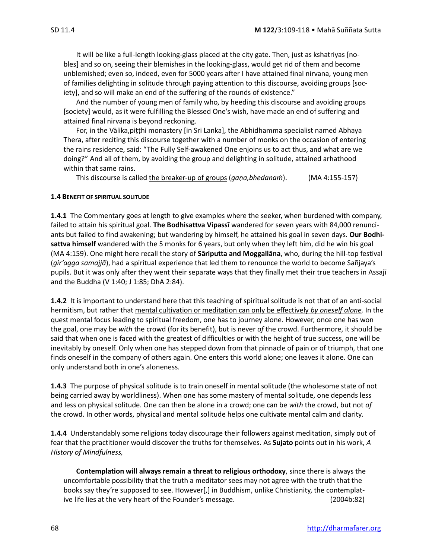It will be like a full-length looking-glass placed at the city gate. Then, just as kshatriyas [nobles] and so on, seeing their blemishes in the looking-glass, would get rid of them and become unblemished; even so, indeed, even for 5000 years after I have attained final nirvana, young men of families delighting in solitude through paying attention to this discourse, avoiding groups [society], and so will make an end of the suffering of the rounds of existence."

And the number of young men of family who, by heeding this discourse and avoiding groups [society] would, as it were fulfilling the Blessed One's wish, have made an end of suffering and attained final nirvana is beyond reckoning.

For, in the Vālika,piṭṭhi monastery [in Sri Lanka], the Abhidhamma specialist named Abhaya Thera, after reciting this discourse together with a number of monks on the occasion of entering the rains residence, said: "The Fully Self-awakened One enjoins us to act thus, and what are we doing?" And all of them, by avoiding the group and delighting in solitude, attained arhathood within that same rains.

This discourse is called the breaker-up of groups (*gaṇa,bhedanaṁ*). (MA 4:155-157)

#### **1.4 BENEFIT OF SPIRITUAL SOLITUDE**

**1.4.1** The Commentary goes at length to give examples where the seeker, when burdened with company, failed to attain his spiritual goal. **The Bodhisattva Vipassī** wandered for seven years with 84,000 renunciants but failed to find awakening; but wandering by himself, he attained his goal in seven days. **Our Bodhisattva himself** wandered with the 5 monks for 6 years, but only when they left him, did he win his goal (MA 4:159). One might here recall the story of **Sāriputta and Moggallāna**, who, during the hill-top festival (*gir'agga samajjā*), had a spiritual experience that led them to renounce the world to become Sañjaya's pupils. But it was only after they went their separate ways that they finally met their true teachers in Assajī and the Buddha (V 1:40; J 1:85; DhA 2:84).

**1.4.2** It is important to understand here that this teaching of spiritual solitude is not that of an anti-social hermitism, but rather that mental cultivation or meditation can only be effectively *by oneself alone.* In the quest mental focus leading to spiritual freedom, one has to journey alone. However, once one has won the goal, one may be *with* the crowd (for its benefit), but is never *of* the crowd. Furthermore, it should be said that when one is faced with the greatest of difficulties or with the height of true success, one will be inevitably by oneself. Only when one has stepped down from that pinnacle of pain or of triumph, that one finds oneself in the company of others again. One enters this world alone; one leaves it alone. One can only understand both in one's aloneness.

**1.4.3** The purpose of physical solitude is to train oneself in mental solitude (the wholesome state of not being carried away by worldliness). When one has some mastery of mental solitude, one depends less and less on physical solitude. One can then be alone in a crowd; one can be *with* the crowd, but not *of* the crowd. In other words, physical and mental solitude helps one cultivate mental calm and clarity.

**1.4.4** Understandably some religions today discourage their followers against meditation, simply out of fear that the practitioner would discover the truths for themselves. As **Sujato** points out in his work, *A History of Mindfulness,*

**Contemplation will always remain a threat to religious orthodoxy**, since there is always the uncomfortable possibility that the truth a meditator sees may not agree with the truth that the books say they're supposed to see. However[,] in Buddhism, unlike Christianity, the contemplative life lies at the very heart of the Founder's message. (2004b:82)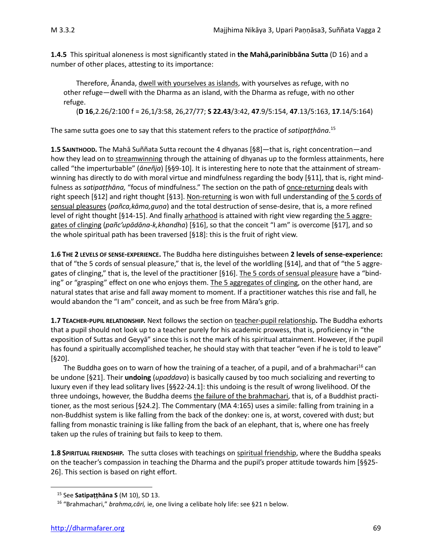**1.4.5** This spiritual aloneness is most significantly stated in **the Mahā,parinibbāna Sutta** (D 16) and a number of other places, attesting to its importance:

Therefore, Ānanda, dwell with yourselves as islands, with yourselves as refuge, with no other refuge—dwell with the Dharma as an island, with the Dharma as refuge, with no other refuge.

(**D 16**,2.26/2:100 f = 26,1/3:58, 26,27/77; **S 22.43**/3:42, **47**.9/5:154, **47**.13/5:163, **17**.14/5:164)

The same sutta goes one to say that this statement refers to the practice of *satipaṭṭhāna*. 15

**1.5 SAINTHOOD.** The Mahā Suññata Sutta recount the 4 dhyanas [§8]—that is, right concentration—and how they lead on to streamwinning through the attaining of dhyanas up to the formless attainments, here called "the imperturbable" (*āneñja*) [§§9-10]. It is interesting here to note that the attainment of streamwinning has directly to do with moral virtue and mindfulness regarding the body [§11], that is, right mindfulness as *satipaṭṭhāna,* "focus of mindfulness." The section on the path of once-returning deals with right speech [§12] and right thought [§13]. Non-returning is won with full understanding of the 5 cords of sensual pleasures (*pañca,kāma,guṇa*) and the total destruction of sense-desire, that is, a more refined level of right thought [§14-15]. And finally arhathood is attained with right view regarding the 5 aggregates of clinging (*pañc'upādāna-k,khandha*) [§16], so that the conceit "I am" is overcome [§17], and so the whole spiritual path has been traversed [§18]: this is the fruit of right view.

**1.6 THE 2 LEVELS OF SENSE-EXPERIENCE.** The Buddha here distinguishes between **2 levels of sense-experience:** that of "the 5 cords of sensual pleasure," that is, the level of the worldling [§14], and that of "the 5 aggregates of clinging," that is, the level of the practitioner [§16]. The 5 cords of sensual pleasure have a "binding" or "grasping" effect on one who enjoys them. The 5 aggregates of clinging, on the other hand, are natural states that arise and fall away moment to moment. If a practitioner watches this rise and fall, he would abandon the "I am" conceit, and as such be free from Māra's grip.

**1.7 TEACHER-PUPIL RELATIONSHIP.** Next follows the section on teacher-pupil relationship**.** The Buddha exhorts that a pupil should not look up to a teacher purely for his academic prowess, that is, proficiency in "the exposition of Suttas and Geyyā" since this is not the mark of his spiritual attainment. However, if the pupil has found a spiritually accomplished teacher, he should stay with that teacher "even if he is told to leave" [§20].

The Buddha goes on to warn of how the training of a teacher, of a pupil, and of a brahmachari<sup>16</sup> can be undone [§21]. Their **undoing** (*upaddava*) is basically caused by too much socializing and reverting to luxury even if they lead solitary lives [§§22-24.1]: this undoing is the result of wrong livelihood. Of the three undoings, however, the Buddha deems the failure of the brahmachari, that is, of a Buddhist practitioner, as the most serious [§24.2]. The Commentary (MA 4:165) uses a simile: falling from training in a non-Buddhist system is like falling from the back of the donkey: one is, at worst, covered with dust; but falling from monastic training is like falling from the back of an elephant, that is, where one has freely taken up the rules of training but fails to keep to them.

**1.8 SPIRITUAL FRIENDSHIP.** The sutta closes with teachings on spiritual friendship, where the Buddha speaks on the teacher's compassion in teaching the Dharma and the pupil's proper attitude towards him [§§25- 26]. This section is based on right effort.

<sup>15</sup> See **Satipaṭṭhāna S** (M 10), SD 13.

<sup>16</sup> "Brahmachari," *brahma,cāri,* ie, one living a celibate holy life: see §21 n below.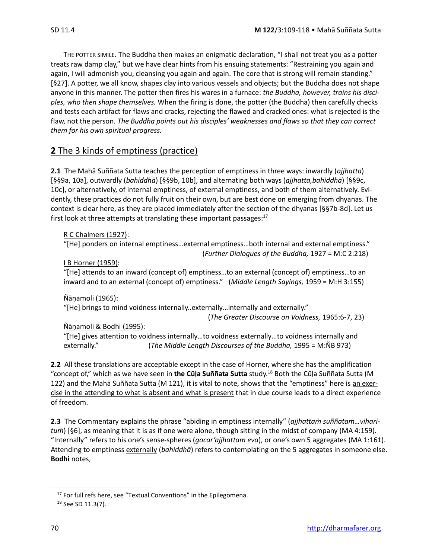THE POTTER SIMILE. The Buddha then makes an enigmatic declaration, "I shall not treat you as a potter treats raw damp clay," but we have clear hints from his ensuing statements: "Restraining you again and again, I will admonish you, cleansing you again and again. The core that is strong will remain standing." [§27]. A potter, we all know, shapes clay into various vessels and objects; but the Buddha does not shape anyone in this manner. The potter then fires his wares in a furnace: *the Buddha, however, trains his disciples, who then shape themselves.* When the firing is done, the potter (the Buddha) then carefully checks and tests each artifact for flaws and cracks, rejecting the flawed and cracked ones: what is rejected is the flaw, not the person. *The Buddha points out his disciples' weaknesses and flaws so that they can correct them for his own spiritual progress.*

## **2** The 3 kinds of emptiness (practice)

**2.1** The Mahā Suññata Sutta teaches the perception of emptiness in three ways: inwardly (*ajjhatta*) [§§9a, 10a], outwardly (*bahiddhā*) [§§9b, 10b], and alternating both ways (*ajjhatta,bahiddhā*) [§§9c, 10c], or alternatively, of internal emptiness, of external emptiness, and both of them alternatively. Evidently, these practices do not fully fruit on their own, but are best done on emerging from dhyanas. The context is clear here, as they are placed immediately after the section of the dhyanas [§§7b-8d]. Let us first look at three attempts at translating these important passages:<sup>17</sup>

R C Chalmers (1927):

"[He] ponders on internal emptiness…external emptiness…both internal and external emptiness." (*Further Dialogues of the Buddha,* 1927 = M:C 2:218)

### I B Horner (1959):

"[He] attends to an inward (concept of) emptiness…to an external (concept of) emptiness…to an inward and to an external (concept of) emptiness." (*Middle Length Sayings,* 1959 = M:H 3:155)

Ñāṇamoli (1965):

"[He] brings to mind voidness internally..externally…internally and externally."

(*The Greater Discourse on Voidness,* 1965:6-7, 23)

Ñāṇamoli & Bodhi (1995):

"[He] gives attention to voidness internally…to voidness externally…to voidness internally and externally." (*The Middle Length Discourses of the Buddha,* 1995 = M:ÑB 973)

**2.2** All these translations are acceptable except in the case of Horner, where she has the amplification "concept of," which as we have seen in **the Cūḷa Suññata Sutta** study. <sup>18</sup> Both the Cūḷa Suññata Sutta (M 122) and the Mahā Suññata Sutta (M 121), it is vital to note, shows that the "emptiness" here is an exercise in the attending to what is absent and what is present that in due course leads to a direct experience of freedom.

**2.3** The Commentary explains the phrase "abiding in emptiness internally" (*ajjhattaṁ suññataṁ…viharituṁ*) [§6], as meaning that it is as if one were alone, though sitting in the midst of company (MA 4:159). "Internally" refers to his one's sense-spheres (*gocar'ajjhattam eva*), or one's own 5 aggregates (MA 1:161). Attending to emptiness externally (*bahiddhā*) refers to contemplating on the 5 aggregates in someone else. **Bodhi** notes,

<sup>&</sup>lt;sup>17</sup> For full refs here, see "Textual Conventions" in the Epilegomena.

<sup>18</sup> See SD 11.3(7).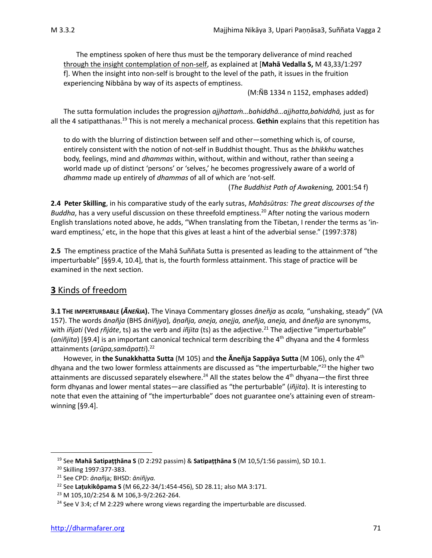The emptiness spoken of here thus must be the temporary deliverance of mind reached through the insight contemplation of non-self, as explained at [**Mahā Vedalla S,** M 43,33/1:297 f]. When the insight into non-self is brought to the level of the path, it issues in the fruition experiencing Nibbāna by way of its aspects of emptiness.

(M:ÑB 1334 n 1152, emphases added)

The sutta formulation includes the progression *ajjhattaṁ…bahiddhā…ajjhatta,bahiddhā,* just as for all the 4 satipatthanas.<sup>19</sup> This is not merely a mechanical process. Gethin explains that this repetition has

to do with the blurring of distinction between self and other—something which is, of course, entirely consistent with the notion of not-self in Buddhist thought. Thus as the *bhikkhu* watches body, feelings, mind and *dhammas* within, without, within and without, rather than seeing a world made up of distinct 'persons' or 'selves,' he becomes progressively aware of a world of *dhamma* made up entirely of *dhammas* of all of which are 'not-self.

(*The Buddhist Path of Awakening,* 2001:54 f)

**2.4 Peter Skilling**, in his comparative study of the early sutras, *Mahāsūtras: The great discourses of the Buddha*, has a very useful discussion on these threefold emptiness.<sup>20</sup> After noting the various modern English translations noted above, he adds, "When translating from the Tibetan, I render the terms as 'inward emptiness,' etc, in the hope that this gives at least a hint of the adverbial sense." (1997:378)

**2.5** The emptiness practice of the Mahā Suññata Sutta is presented as leading to the attainment of "the imperturbable" [§§9.4, 10.4], that is, the fourth formless attainment. This stage of practice will be examined in the next section.

## **3** Kinds of freedom

**3.1 THE IMPERTURBABLE (***ĀNEÑJA***).** The Vinaya Commentary glosses *āneñja* as *acala,* "unshaking, steady" (VA 157). The words *ānañja* (BHS *āniñjya*)*, āṇañja, aneja, anejja, aneñja, aneja,* and *āneñja* are synonyms, with *iñjati* (Ved *rñjáte*, ts) as the verb and *iñjita* (ts) as the adjective.<sup>21</sup> The adjective "imperturbable" (aniñjita) [§9.4] is an important canonical technical term describing the 4<sup>th</sup> dhyana and the 4 formless attainments (*arūpa,samāpatti*).<sup>22</sup>

However, in **the Sunakkhatta Sutta** (M 105) and **the Āneñja Sappāya Sutta** (M 106), only the 4 th dhyana and the two lower formless attainments are discussed as "the imperturbable,"<sup>23</sup> the higher two attainments are discussed separately elsewhere.<sup>24</sup> All the states below the 4<sup>th</sup> dhyana—the first three form dhyanas and lower mental states—are classified as "the perturbable" (*iñjita*). It is interesting to note that even the attaining of "the imperturbable" does not guarantee one's attaining even of streamwinning [§9.4].

<sup>19</sup> See **Mahā Satipaṭṭhāna S** (D 2:292 passim) & **Satipaṭṭhāna S** (M 10,5/1:56 passim), SD 10.1.

<sup>20</sup> Skilling 1997:377-383.

<sup>21</sup> See CPD: *ānañ*ja; BHSD: *āniñjya.*

<sup>22</sup> See **Laṭukikôpama S** (M 66,22-34/1:454-456), SD 28.11; also MA 3:171.

<sup>23</sup> M 105,10/2:254 & M 106,3-9/2:262-264.

<sup>&</sup>lt;sup>24</sup> See V 3:4; cf M 2:229 where wrong views regarding the imperturbable are discussed.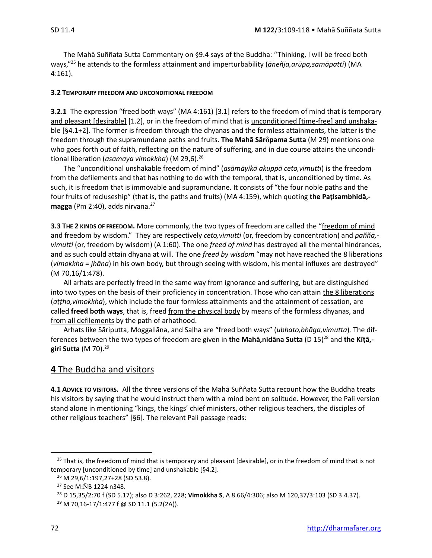The Mahā Suññata Sutta Commentary on §9.4 says of the Buddha: "Thinking, I will be freed both ways,"<sup>25</sup> he attends to the formless attainment and imperturbability (*āneñja,arūpa,samāpatti*) (MA 4:161).

### **3.2 TEMPORARY FREEDOM AND UNCONDITIONAL FREEDOM**

**3.2.1** The expression "freed both ways" (MA 4:161) [3.1] refers to the freedom of mind that is temporary and pleasant [desirable] [1.2], or in the freedom of mind that is unconditioned [time-free] and unshakable [§4.1+2]. The former is freedom through the dhyanas and the formless attainments, the latter is the freedom through the supramundane paths and fruits. **The Mahā Sārpama Sutta** (M 29) mentions one who goes forth out of faith, reflecting on the nature of suffering, and in due course attains the unconditional liberation (*asamaya vimokkha*) (M 29,6).<sup>26</sup>

The "unconditional unshakable freedom of mind" (*asāmāyikā akuppā ceto,vimutti*) is the freedom from the defilements and that has nothing to do with the temporal, that is, unconditioned by time. As such, it is freedom that is immovable and supramundane. It consists of "the four noble paths and the four fruits of recluseship" (that is, the paths and fruits) (MA 4:159), which quoting **the Paṭisambhidā, magga** (Pm 2:40), adds nirvana. 27

**3.3 THE 2 KINDS OF FREEDOM.** More commonly, the two types of freedom are called the "freedom of mind and freedom by wisdom." They are respectively *ceto,vimutti* (or, freedom by concentration) and *paññā, vimutti* (or, freedom by wisdom) (A 1:60). The one *freed of mind* has destroyed all the mental hindrances, and as such could attain dhyana at will. The one *freed by wisdom* "may not have reached the 8 liberations (*vimokkha = jhāna*) in his own body, but through seeing with wisdom, his mental influxes are destroyed" (M 70,16/1:478).

All arhats are perfectly freed in the same way from ignorance and suffering, but are distinguished into two types on the basis of their proficiency in concentration. Those who can attain the 8 liberations (*aṭṭha,vimokkha*), which include the four formless attainments and the attainment of cessation, are called **freed both ways**, that is, freed from the physical body by means of the formless dhyanas, and from all defilements by the path of arhathood.

Arhats like Sāriputta, Moggallāna, and Saḷha are "freed both ways" (*ubhato,bhāga,vimutta*)*.* The differences between the two types of freedom are given in **the Mahā,nidāna Sutta** (D 15) <sup>28</sup> and **the Kīṭā, giri Sutta** (M 70).<sup>29</sup>

## **4** The Buddha and visitors

**4.1 ADVICE TO VISITORS.** All the three versions of the Mahā Suññata Sutta recount how the Buddha treats his visitors by saying that he would instruct them with a mind bent on solitude. However, the Pali version stand alone in mentioning "kings, the kings' chief ministers, other religious teachers, the disciples of other religious teachers" [§6]. The relevant Pali passage reads:

<sup>&</sup>lt;sup>25</sup> That is, the freedom of mind that is temporary and pleasant [desirable], or in the freedom of mind that is not temporary [unconditioned by time] and unshakable [§4.2].

<sup>26</sup> M 29,6/1:197,27+28 (SD 53.8).

<sup>&</sup>lt;sup>27</sup> See M:NB 1224 n348.

<sup>28</sup> D 15,35/2:70 f (SD 5.17); also D 3:262, 228; **Vimokkha S**, A 8.66/4:306; also M 120,37/3:103 (SD 3.4.37).

 $29$  M 70,16-17/1:477 f @ SD 11.1 (5.2(2A)).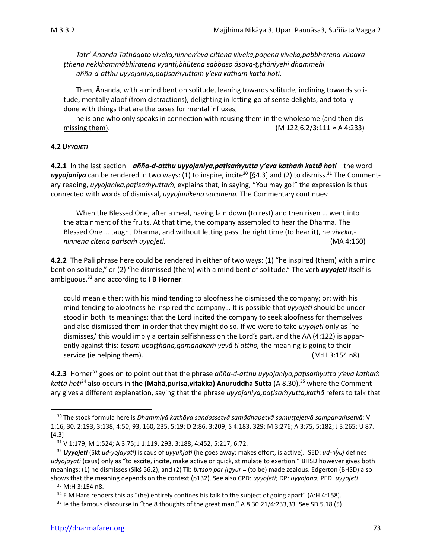*Tatr' Ānanda Tathāgato viveka,ninnen'eva cittena viveka,poṇena viveka,pabbhārena vūpakaṭṭhena nekkhammâbhiratena vyanti,bhūtena sabbaso āsava-ṭ,ṭhāniyehi dhammehi añña-d-atthu uyyojaniya,paṭisaṁyuttaṁ y'eva kathaṁ kattā hoti.*

Then, Ānanda, with a mind bent on solitude, leaning towards solitude, inclining towards solitude, mentally aloof (from distractions), delighting in letting-go of sense delights, and totally done with things that are the bases for mental influxes,

he is one who only speaks in connection with rousing them in the wholesome (and then dismissing them). (M 122,6.2/3:111 ≈ A 4:233)

#### **4.2** *UYYOJETI*

**4.2.1** In the last section—*añña-d-atthu uyyojaniya,paṭisaṁyutta y'eva kathaṁ kattā hoti—*the word uyyojaniya can be rendered in two ways: (1) to inspire, incite<sup>30</sup> [§4.3] and (2) to dismiss.<sup>31</sup> The Commentary reading, *uyyojanika,paṭisaṁyuttaṁ*, explains that, in saying, "You may go!" the expression is thus connected with words of dismissal, *uyyojanikena vacanena.* The Commentary continues:

When the Blessed One, after a meal, having lain down (to rest) and then risen … went into the attainment of the fruits. At that time, the company assembled to hear the Dharma. The Blessed One … taught Dharma, and without letting pass the right time (to hear it), he *viveka, ninnena citena parisaṁ uyyojeti.* (MA 4:160)

**4.2.2** The Pali phrase here could be rendered in either of two ways: (1) "he inspired (them) with a mind bent on solitude," or (2) "he dismissed (them) with a mind bent of solitude." The verb *uyyojeti* itself is ambiguous,<sup>32</sup> and according to **I B Horner**:

could mean either: with his mind tending to aloofness he dismissed the company; or: with his mind tending to aloofness he inspired the company… It is possible that *uyyojeti* should be understood in both its meanings: that the Lord incited the company to seek aloofness for themselves and also dismissed them in order that they might do so. If we were to take *uyyojeti* only as 'he dismisses,' this would imply a certain selfishness on the Lord's part, and the AA (4:122) is apparently against this: *tesaṁ upaṭṭhāna,gamanakaṁ yevâ ti attho,* the meaning is going to their service (ie helping them). (M:H 3:154 n8)

**4.2.3** Horner<sup>33</sup> goes on to point out that the phrase *añña-d-atthu uyyojaniya,paṭisaṁyutta y'eva kathaṁ kattā hoti*<sup>34</sup> also occurs in **the (Mahā,purisa,vitakka) Anuruddha Sutta** (A 8.30), <sup>35</sup> where the Commentary gives a different explanation, saying that the phrase *uyyojaniya,paṭisaṁyutta,kathā* refers to talk that

<sup>30</sup> The stock formula here is *Dhammiyā kathāya sandassetvā samādhapetvā samuṭṭejetvā sampahaṁsetvā:* V 1:16, 30, 2:193, 3:138, 4:50, 93, 160, 235, 5:19; D 2:86, 3:209; S 4:183, 329; M 3:276; A 3:75, 5:182; J 3:265; U 87. [4.3]

<sup>31</sup> V 1:179; M 1:524; A 3:75; J 1:119, 293, 3:188, 4:452, 5:217, 6:72.

<sup>32</sup> *Uyyojeti* (Skt *ud-yojayati*) is caus of *uyyuñjati* (he goes away; makes effort, is active)*.* SED: *ud-yuj* defines *udyojayati* (caus) only as "to excite, incite, make active or quick, stimulate to exertion." BHSD however gives both meanings: (1) he dismisses (Sikś 56.2), and (2) Tib *brtson par hayur* = (to be) made zealous. Edgerton (BHSD) also shows that the meaning depends on the context (p132). See also CPD: *uyyojeti*; DP: *uyyojana*; PED: *uyyojeti*.

<sup>33</sup> M:H 3:154 n8.

 $34$  E M Hare renders this as "(he) entirely confines his talk to the subject of going apart" (A:H 4:158).

 $35$  le the famous discourse in "the 8 thoughts of the great man," A 8.30.21/4:233,33. See SD 5.18 (5).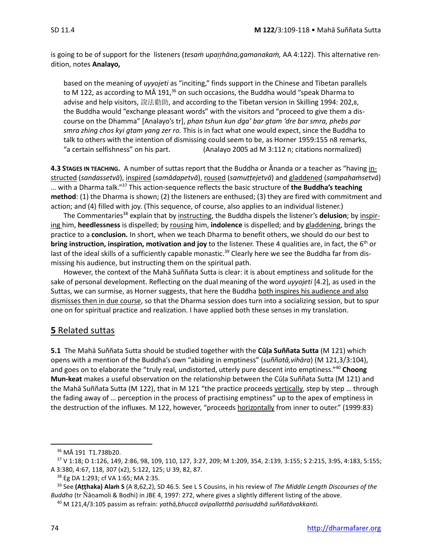is going to be of support for the listeners (*tesaṁ upahāna,gamanakaṁ,* AA 4:122). This alternative rendition, notes **Analayo,**

based on the meaning of *uyyojeti* as "inciting," finds support in the Chinese and Tibetan parallels to M 122, as according to MA 191,<sup>36</sup> on such occasions, the Buddha would "speak Dharma to advise and help visitors, 說法勸助, and according to the Tibetan version in Skilling 1994: 202,8, the Buddha would "exchange pleasant words" with the visitors and "proceed to give them a discourse on the Dhamma" [Analayo's tr], *phan tshun kun dga' bar gtam 'dre bar smra, phebs par smra zhing chos kyi gtam yang zer ro.* This is in fact what one would expect, since the Buddha to talk to others with the intention of dismissing could seem to be, as Horner 1959:155 n8 remarks, "a certain selfishness" on his part. (Analayo 2005 ad M 3:112 n; citations normalized)

**4.3 STAGES IN TEACHING.** A number of suttas report that the Buddha or Ānanda or a teacher as "having instructed (*sandassetvā*), inspired (*samādapetvā*), roused (*samuṭṭejetvā*) and gladdened (*sampahaṁsetvā*) … with a Dharma talk."<sup>37</sup> This action-sequence reflects the basic structure of **the Buddha's teaching method**: (1) the Dharma is shown; (2) the listeners are enthused; (3) they are fired with commitment and action; and (4) filled with joy. (This sequence, of course, also applies to an individual listener.)

The Commentaries<sup>38</sup> explain that by instructing, the Buddha dispels the listener's **delusion**; by inspiring him, **heedlessness** is dispelled; by rousing him, **indolence** is dispelled; and by gladdening, brings the practice to a **conclusion.** In short, when we teach Dharma to benefit others, we should do our best to **bring instruction, inspiration, motivation and joy** to the listener. These 4 qualities are, in fact, the 6<sup>th</sup> or last of the ideal skills of a sufficiently capable monastic.<sup>39</sup> Clearly here we see the Buddha far from dismissing his audience, but instructing them on the spiritual path.

However, the context of the Mahā Suññata Sutta is clear: it is about emptiness and solitude for the sake of personal development. Reflecting on the dual meaning of the word *uyyojeti* [4.2], as used in the Suttas, we can surmise, as Horner suggests, that here the Buddha both inspires his audience and also dismisses then in due course, so that the Dharma session does turn into a socializing session, but to spur one on for spiritual practice and realization. I have applied both these senses in my translation.

## **5** Related suttas

**5.1** The Mahā Suññata Sutta should be studied together with the **Cūḷa Suññata Sutta** (M 121) which opens with a mention of the Buddha's own "abiding in emptiness" (*suññatā,vihāra*) (M 121,3/3:104), and goes on to elaborate the "truly real, undistorted, utterly pure descent into emptiness." <sup>40</sup> **Choong Mun-keat** makes a useful observation on the relationship between the Cūḷa Suññata Sutta (M 121) and the Mahā Suññata Sutta (M 122), that in M 121 "the practice proceeds vertically, step by step ... through the fading away of … perception in the process of practising emptiness" up to the apex of emptiness in the destruction of the influxes. M 122, however, "proceeds horizontally from inner to outer." (1999:83)

<sup>36</sup> MĀ 191 T1.738b20.

<sup>37</sup> V 1:18; D 1:126, 149, 2:86, 98, 109, 110, 127, 3:27, 209; M 1:209, 354, 2:139, 3:155; S 2:215, 3:95, 4:183, 5:155; A 3:380, 4:67, 118, 307 (x2), 5:122, 125; U 39, 82, 87.

<sup>38</sup> Eg DA 1:293; cf VA 1:65; MA 2:35.

<sup>39</sup> See **(Aṭṭhaka) Alaṁ S** (A 8,62,2), SD 46.5. See L S Cousins, in his review of *The Middle Length Discourses of the Buddha* (tr āṇamoli & Bodhi) in JBE 4, 1997: 272, where gives a slightly different listing of the above.

<sup>40</sup> M 121,4/3:105 passim as refrain: *yathā,bhuccā avipallatthā parisuddhā suññatâvakkanti.*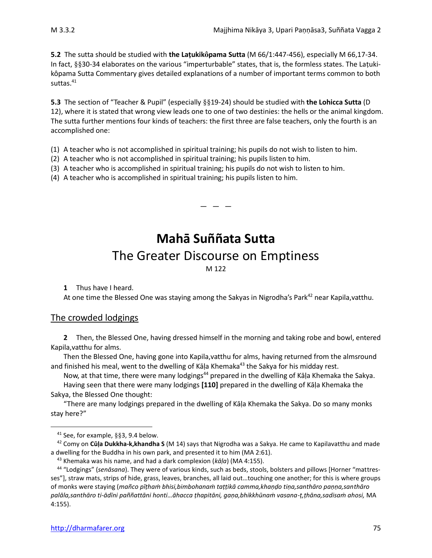**5.2** The sutta should be studied with **the Laṭukikpama Sutta** (M 66/1:447-456), especially M 66,17-34. In fact, §§30-34 elaborates on the various "imperturbable" states, that is, the formless states. The Laṭukikôpama Sutta Commentary gives detailed explanations of a number of important terms common to both suttas.<sup>41</sup>

**5.3** The section of "Teacher & Pupil" (especially 19-24) should be studied with **the Lohicca Sutta** (D 12), where it is stated that wrong view leads one to one of two destinies: the hells or the animal kingdom. The sutta further mentions four kinds of teachers: the first three are false teachers, only the fourth is an accomplished one:

- (1) A teacher who is not accomplished in spiritual training; his pupils do not wish to listen to him.
- (2) A teacher who is not accomplished in spiritual training; his pupils listen to him.
- (3) A teacher who is accomplished in spiritual training; his pupils do not wish to listen to him.
- (4) A teacher who is accomplished in spiritual training; his pupils listen to him.

# **Mahā Suññata Sutta** The Greater Discourse on Emptiness M 122

 $-$ 

**1** Thus have I heard.

At one time the Blessed One was staying among the Sakyas in Nigrodha's Park<sup>42</sup> near Kapila, vatthu.

## The crowded lodgings

**2** Then, the Blessed One, having dressed himself in the morning and taking robe and bowl, entered Kapila,vatthu for alms.

Then the Blessed One, having gone into Kapila,vatthu for alms, having returned from the almsround and finished his meal, went to the dwelling of Kāḷa Khemaka<sup>43</sup> the Sakya for his midday rest.

Now, at that time, there were many lodgings<sup>44</sup> prepared in the dwelling of Kāļa Khemaka the Sakya.

Having seen that there were many lodgings **[110]** prepared in the dwelling of Kāḷa Khemaka the Sakya, the Blessed One thought:

"There are many lodgings prepared in the dwelling of Kāḷa Khemaka the Sakya. Do so many monks stay here?"

 $41$  See, for example,  $883$ , 9.4 below.

<sup>42</sup> Comy on **Cūḷa Dukkha-k,khandha S** (M 14) says that Nigrodha was a Sakya. He came to Kapilavatthu and made a dwelling for the Buddha in his own park, and presented it to him (MA 2:61).

<sup>43</sup> Khemaka was his name, and had a dark complexion (*kāḷa*) (MA 4:155).

<sup>44</sup> "Lodgings" (*senāsana*). They were of various kinds, such as beds, stools, bolsters and pillows [Horner "mattresses"], straw mats, strips of hide, grass, leaves, branches, all laid out…touching one another; for this is where groups of monks were staying (*mañco pīṭhaṁ bhisi,bimbohanaṁ taṭṭikā camma,khaṇḍo tiṇa,santhāro paṇṇa,santhāro palāla,santhāro ti-ādīni paññattāni honti…āhacca ṭhapitāni, gaṇa,bhikkhūnaṁ vasana-ṭ,ṭhāna,sadisaṁ ahosi,* MA 4:155).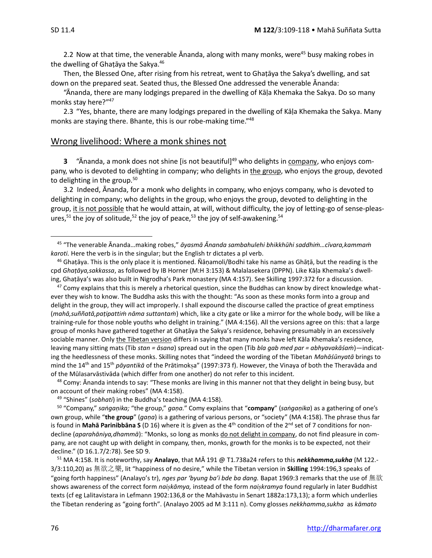2.2 Now at that time, the venerable  $\bar{A}$ nanda, along with many monks, were<sup>45</sup> busy making robes in the dwelling of Ghaṭāya the Sakya.<sup>46</sup>

Then, the Blessed One, after rising from his retreat, went to Ghaṭāya the Sakya's dwelling, and sat down on the prepared seat. Seated thus, the Blessed One addressed the venerable Ānanda:

"Ānanda, there are many lodgings prepared in the dwelling of Kāḷa Khemaka the Sakya. Do so many monks stay here?"47

2.3 "Yes, bhante, there are many lodgings prepared in the dwelling of Kāḷa Khemaka the Sakya. Many monks are staying there. Bhante, this is our robe-making time."<sup>48</sup>

## Wrong livelihood: Where a monk shines not

**3** "Ānanda, a monk does not shine [is not beautiful]<sup>49</sup> who delights in company, who enjoys company, who is devoted to delighting in company; who delights in the group, who enjoys the group, devoted to delighting in the group.<sup>50</sup>

3.2 Indeed, Ānanda, for a monk who delights in company, who enjoys company, who is devoted to delighting in company; who delights in the group, who enjoys the group, devoted to delighting in the group, it is not possible that he would attain, at will, without difficulty, the joy of letting-go of sense-pleasures,<sup>51</sup> the joy of solitude,<sup>52</sup> the joy of peace,<sup>53</sup> the joy of self-awakening.<sup>54</sup>

 $47$  Comy explains that this is merely a rhetorical question, since the Buddhas can know by direct knowledge whatever they wish to know. The Buddha asks this with the thought: "As soon as these monks form into a group and delight in the group, they will act improperly. I shall expound the discourse called the practice of great emptiness (*mahā,suññatā,paṭipattiṁ nāma suttantaṁ*) which, like a city gate or like a mirror for the whole body, will be like a training-rule for those noble youths who delight in training." (MA 4:156). All the versions agree on this: that a large group of monks have gathered together at Ghaṭāya the Sakya's residence, behaving presumably in an excessively sociable manner. Only the Tibetan version differs in saying that many monks have left Kāla Khemaka's residence, leaving many sitting mats (Tib *stan = āsana*) spread out in the open (Tib *bla gab med par = abhyavakāśaṁ*)—indicating the heedlessness of these monks. Skilling notes that "indeed the wording of the Tibetan *Mahāśūnyatā* brings to mind the 14<sup>th</sup> and 15<sup>th</sup> *pāyantikā* of the Prātimoksa" (1997:373 f). However, the Vinaya of both the Theravāda and of the Mūlasarvāstivāda (which differ from one another) do not refer to this incident.

<sup>48</sup> Comy: Ānanda intends to say: "These monks are living in this manner not that they delight in being busy, but on account of their making robes" (MA 4:158).

<sup>49</sup> "Shines" (*sobhati*) in the Buddha's teaching (MA 4:158).

<sup>50</sup> "Company," *saṅgaṇika;* "the group," *gaṇa.*" Comy explains that "**company**" (*saṅgaṇika*) as a gathering of one's own group, while "**the group**" (*gaṇa*) is a gathering of various persons, or "society" (MA 4:158). The phrase thus far is found in **Mahā Parinibbāna S** (D 16) where it is given as the 4<sup>th</sup> condition of the 2<sup>nd</sup> set of 7 conditions for nondecline (*aparahāniya,dhammā*): "Monks, so long as monks do not delight in company, do not find pleasure in company, are not caught up with delight in company, then, monks, growth for the monks is to be expected, not their decline." (D 16.1.7/2:78). See SD 9.

<sup>51</sup> MA 4:158. It is noteworthy, say **Analayo**, that MĀ 191 @ T1.738a24 refers to this *nekkhamma,sukha* (M 122.- 3/3:110,20) as 無欲之樂, lit "happiness of no desire," while the Tibetan version in **Skilling** 1994:196,3 speaks of "going forth happiness" (Analayo's tr), *nges par 'byung ba'i bde ba dang.* Bapat 1969:3 remarks that the use of 無欲 shows awareness of the correct form *naikāmya,* instead of the form *naikramya* found regularly in later Buddhist texts (cf eg Lalitavistara in Lefmann 1902:136,8 or the Mahāvastu in Senart 1882a:173,13); a form which underlies the Tibetan rendering as "going forth". (Analayo 2005 ad M 3:111 n). Comy glosses *nekkhamma,sukha* as *kāmato* 

<sup>45</sup> "The venerable Ānanda…making robes," *āyasmā Ānanda sambahulehi bhikkhūhi saddhiṁ…cīvara,kammaṁ karoti.* Here the verb is in the singular; but the English tr dictates a pl verb.

<sup>46</sup> Ghaṭāya. This is the only place it is mentioned. Ñāṇamoli/Bodhi take his name as Ghāṭā, but the reading is the cpd *Ghaṭāya,sakkassa*, as followed by IB Horner (M:H 3:153) & Malalasekera (DPPN). Like Kāḷa Khemaka's dwelling, Ghaṭāya's was also built in Nigrodha's Park monastery (MA 4:157). See Skilling 1997:372 for a discussion.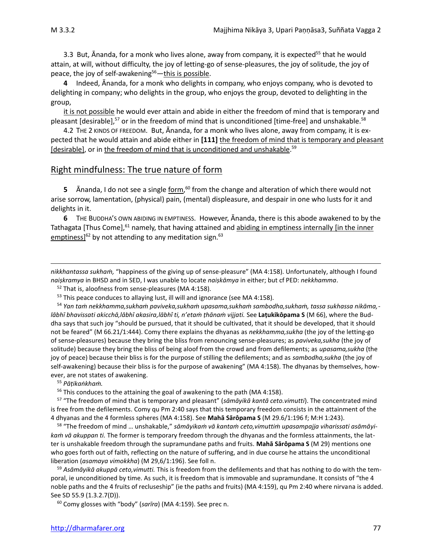3.3 But, Ānanda, for a monk who lives alone, away from company, it is expected<sup>55</sup> that he would attain, at will, without difficulty, the joy of letting-go of sense-pleasures, the joy of solitude, the joy of peace, the joy of self-awakening<sup>56</sup>—this is possible.

**4** Indeed, Ānanda, for a monk who delights in company, who enjoys company, who is devoted to delighting in company; who delights in the group, who enjoys the group, devoted to delighting in the group,

it is not possible he would ever attain and abide in either the freedom of mind that is temporary and pleasant [desirable],<sup>57</sup> or in the freedom of mind that is unconditioned [time-free] and unshakable.<sup>58</sup>

4.2 THE 2 KINDS OF FREEDOM. But, Ānanda, for a monk who lives alone, away from company, it is expected that he would attain and abide either in **[111]** the freedom of mind that is temporary and pleasant [desirable], or in the freedom of mind that is unconditioned and unshakable.<sup>59</sup>

### Right mindfulness: The true nature of form

**5** Ananda, I do not see a single form,<sup>60</sup> from the change and alteration of which there would not arise sorrow, lamentation, (physical) pain, (mental) displeasure, and despair in one who lusts for it and delights in it.

**6** THE BUDDHA'S OWN ABIDING IN EMPTINESS. However, Ānanda, there is this abode awakened to by the Tathagata [Thus Come],<sup>61</sup> namely, that having attained and abiding in emptiness internally [in the inner emptiness] $^{62}$  by not attending to any meditation sign. $^{63}$ 

<sup>52</sup> That is, aloofness from sense-pleasures (MA 4:158).

<sup>53</sup> This peace conduces to allaying lust, ill will and ignorance (see MA 4:158).

<sup>54</sup> *Yan taṁ nekkhamma,sukhaṁ paviveka,sukhaṁ upasama,sukhaṁ sambodha,sukhaṁ, tassa sukhassa nikāma, lābhī bhavissati akicchā,lābhī akasira,lābhî ti, n'etaṁ ṭhānaṁ vijjati.* See **Laṭukikôpama S** (M 66), where the Buddha says that such joy "should be pursued, that it should be cultivated, that it should be developed, that it should not be feared" (M 66.21/1:444). Comy there explains the dhyanas as *nekkhamma,sukha* (the joy of the letting-go of sense-pleasures) because they bring the bliss from renouncing sense-pleasures; as *paviveka,sukha* (the joy of solitude) because they bring the bliss of being aloof from the crowd and from defilements; as *upasama,sukha* (the joy of peace) because their bliss is for the purpose of stilling the defilements; and as *sambodha,sukha* (the joy of self-awakening) because their bliss is for the purpose of awakening" (MA 4:158). The dhyanas by themselves, however, are not states of awakening.

<sup>55</sup> *Pāṭikaṅkhaṁ.*

<sup>56</sup> This conduces to the attaining the goal of awakening to the path (MA 4:158).

<sup>57</sup> "The freedom of mind that is temporary and pleasant" (*sāmāyikā kantā ceto.vimutti*). The concentrated mind is free from the defilements. Comy qu Pm 2:40 says that this temporary freedom consists in the attainment of the 4 dhyanas and the 4 formless spheres (MA 4:158). See **Mahā Sārôpama S** (M 29.6/1:196 f; M:H 1:243).

<sup>58</sup> "The freedom of mind … unshakable," *sāmāyikaṁ vā kantaṁ ceto,vimuttiṁ upasampajja viharissati asāmāyikaṁ vā akuppan ti.* The former is temporary freedom through the dhyanas and the formless attainments, the latter is unshakable freedom through the supramundane paths and fruits. **Mahā Sārôpama S** (M 29) mentions one who goes forth out of faith, reflecting on the nature of suffering, and in due course he attains the unconditional liberation (*asamaya vimokkha*) (M 29,6/1:196). See foll n.

<sup>59</sup> *Asāmāyikā akuppā ceto,vimutti.* This is freedom from the defilements and that has nothing to do with the temporal, ie unconditioned by time. As such, it is freedom that is immovable and supramundane. It consists of "the 4 noble paths and the 4 fruits of recluseship" (ie the paths and fruits) (MA 4:159), qu Pm 2:40 where nirvana is added. See SD 55.9 (1.3.2.7(D)).

<sup>60</sup> Comy glosses with "body" (*sarīra*) (MA 4:159). See prec n.

*nikkhantassa sukhaṁ,* "happiness of the giving up of sense-pleasure" (MA 4:158). Unfortunately, although I found *naiṣkramya* in BHSD and in SED, I was unable to locate *naiṣkāmya* in either; but cf PED: *nekkhamma*.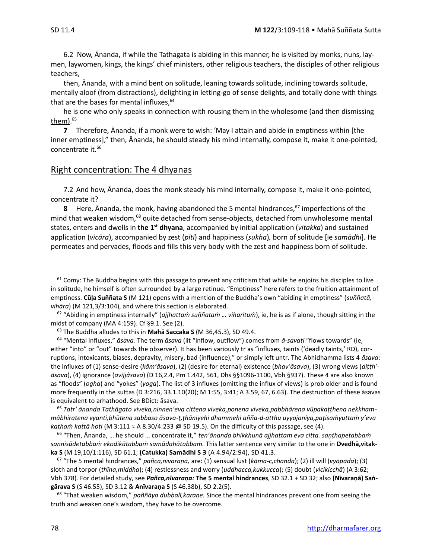6.2 Now, Ānanda, if while the Tathagata is abiding in this manner, he is visited by monks, nuns, laymen, laywomen, kings, the kings' chief ministers, other religious teachers, the disciples of other religious teachers,

then, Ānanda, with a mind bent on solitude, leaning towards solitude, inclining towards solitude, mentally aloof (from distractions), delighting in letting-go of sense delights, and totally done with things that are the bases for mental influxes, 64

he is one who only speaks in connection with rousing them in the wholesome (and then dismissing <u>them)</u>.<sup>65</sup>

**7** Therefore, Ānanda, if a monk were to wish: 'May I attain and abide in emptiness within [the inner emptiness]," then, Ānanda, he should steady his mind internally, compose it, make it one-pointed, concentrate it.<sup>66</sup>

## Right concentration: The 4 dhyanas

7.2 And how, Ānanda, does the monk steady his mind internally, compose it, make it one-pointed, concentrate it?

**8** Here, Ānanda, the monk, having abandoned the 5 mental hindrances,<sup>67</sup> imperfections of the mind that weaken wisdom,<sup>68</sup> quite detached from sense-objects, detached from unwholesome mental states, enters and dwells in the 1<sup>st</sup> dhyana, accompanied by initial application (*vitakka*) and sustained application (*vicāra*), accompanied by zest (*pīti*) and happiness (*sukha*)*,* born of solitude [ie *samādhi*]*.* He permeates and pervades, floods and fills this very body with the zest and happiness born of solitude.

<sup>62</sup> "Abiding in emptiness internally" (*ajjhattaṁ suññataṁ … viharituṁ*), ie, he is as if alone, though sitting in the midst of company (MA 4:159). Cf  $\S$ 9.1. See (2).

<sup>63</sup> The Buddha alludes to this in **Mahā Saccaka S** (M 36,45.3), SD 49.4.

<sup>64</sup> "Mental influxes," *āsava.* The term *āsava* (lit "inflow, outflow") comes from *ā-savati* "flows towards" (ie, either "into" or "out" towards the observer). It has been variously tr as "influxes, taints ('deadly taints,' RD), corruptions, intoxicants, biases, depravity, misery, bad (influence)," or simply left untr. The Abhidhamma lists 4 *āsava*: the influxes of (1) sense-desire (*kām'āsava*), (2) (desire for eternal) existence (*bhav'āsava*), (3) wrong views (*diṭṭh' āsava*), (4) ignorance (*avijjâsava*) (D 16,2.4, Pm 1.442, 561, Dhs §§1096-1100, Vbh §937). These 4 are also known as "floods" (*ogha*) and "yokes" (*yoga*). The list of 3 influxes (omitting the influx of views) is prob older and is found more frequently in the suttas (D 3:216, 33.1.10(20); M 1:55, 3:41; A 3.59, 67, 6.63). The destruction of these āsavas is equivalent to arhathood. See BDict: āsava.

<sup>65</sup> *Tatr' ānanda Tathāgato viveka,ninnen'eva cittena viveka,poṇena viveka,pabbhārena vūpakaṭṭhena nekkhammâbhiratena vyanti,bhūtena sabbaso āsava-ṭ,ṭhāniyehi dhammehi añña-d-atthu uyyojaniya,paṭisaṁyuttaṁ y'eva kathaṁ kattā hoti* (M 3:111 ≈ A 8.30/4:233 @ SD 19.5). On the difficulty of this passage, see (4).

<sup>66</sup> "Then, Ānanda, … he should … concentrate it," *ten'ānanda bhikkhunā ajjhattam eva citta. saṇṭhapetabbaṁ sannisādetabbaṁ ekodikātabbaṁ samādahātabbaṁ.* This latter sentence very similar to the one in **Dvedhā,vitakka S** (M 19,10/1:116), SD 61.1; **(Catukka) Samādhi S 3** (A 4.94/2:94), SD 41.3.

<sup>67</sup> "The 5 mental hindrances," *pañca,nīvaraṇā,* are: (1) sensual lust (*kāma-c,chanda*); (2) ill will (*vyāpāda*); (3) sloth and torpor (*thīna,middha*); (4) restlessness and worry (*uddhacca,kukkucca*); (5) doubt (*vicikicchā*) (A 3:62; Vbh 378)*.* For detailed study, see *Pañca,nīvaraṇa:* **The 5 mental hindrances**, SD 32.1 + SD 32; also **(Nīvaraṇā) Saṅgārava S** (S 46.55), SD 3.12 & **Anīvaraṇa S** (S 46.38b), SD 2.2(5).

<sup>68</sup> "That weaken wisdom," *paññāya dubbalī,karaṇe.* Since the mental hindrances prevent one from seeing the truth and weaken one's wisdom, they have to be overcome.

 $61$  Comy: The Buddha begins with this passage to prevent any criticism that while he enjoins his disciples to live in solitude, he himself is often surrounded by a large retinue. "Emptiness" here refers to the fruition attainment of emptiness. **Cūḷa Suññata S** (M 121) opens with a mention of the Buddha's own "abiding in emptiness" (*suññatā, vihāra*) (M 121,3/3:104), and where this section is elaborated.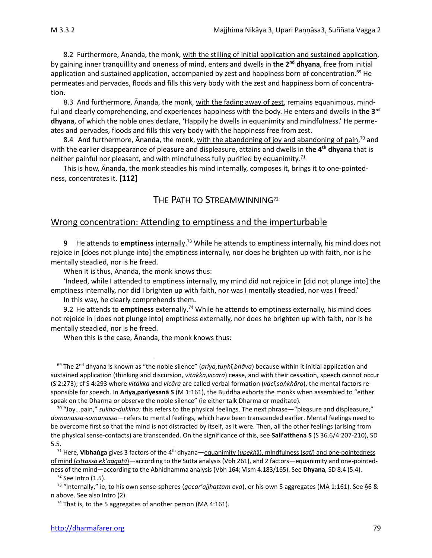8.2 Furthermore, Ānanda, the monk, with the stilling of initial application and sustained application, by gaining inner tranquillity and oneness of mind, enters and dwells in **the 2 nd dhyana**, free from initial application and sustained application, accompanied by zest and happiness born of concentration.<sup>69</sup> He permeates and pervades, floods and fills this very body with the zest and happiness born of concentration.

8.3And furthermore, Ānanda, the monk, with the fading away of zest, remains equanimous, mindful and clearly comprehending, and experiences happiness with the body. He enters and dwells in **the 3 rd dhyana**, of which the noble ones declare, 'Happily he dwells in equanimity and mindfulness.' He permeates and pervades, floods and fills this very body with the happiness free from zest.

8.4 And furthermore, Ānanda, the monk, with the abandoning of joy and abandoning of pain,<sup>70</sup> and with the earlier disappearance of pleasure and displeasure, attains and dwells in **the 4 th dhyana** that is neither painful nor pleasant, and with mindfulness fully purified by equanimity.<sup>71</sup>

This is how, Ānanda, the monk steadies his mind internally, composes it, brings it to one-pointedness, concentrates it. **[112]**

## THE PATH TO STREAMWINNING<sup>72</sup>

## Wrong concentration: Attending to emptiness and the imperturbable

**9** He attends to **emptiness** internally. <sup>73</sup> While he attends to emptiness internally, his mind does not rejoice in [does not plunge into] the emptiness internally, nor does he brighten up with faith, nor is he mentally steadied, nor is he freed.

When it is thus, Ānanda, the monk knows thus:

'Indeed, while I attended to emptiness internally, my mind did not rejoice in [did not plunge into] the emptiness internally, nor did I brighten up with faith, nor was I mentally steadied, nor was I freed.'

In this way, he clearly comprehends them.

9.2 He attends to emptiness externally.<sup>74</sup> While he attends to emptiness externally, his mind does not rejoice in [does not plunge into] emptiness externally, nor does he brighten up with faith, nor is he mentally steadied, nor is he freed.

When this is the case, Ānanda, the monk knows thus:

<sup>&</sup>lt;sup>69</sup> The 2<sup>nd</sup> dhyana is known as "the noble silence" (*ariya,tuṇhī,bhāva*) because within it initial application and sustained application (thinking and discursion, *vitakka,vicāra*) cease, and with their cessation, speech cannot occur (S 2:273); cf S 4:293 where *vitakka* and *vicāra* are called verbal formation (*vacī,saṅkhāra*), the mental factors responsible for speech. In **Ariya,pariyesanā S** (M 1:161), the Buddha exhorts the monks when assembled to "either speak on the Dharma or observe the noble silence" (ie either talk Dharma or meditate).

<sup>70</sup> "Joy…pain," *sukha-dukkha:* this refers to the physical feelings. The next phrase—"pleasure and displeasure," *domanassa-somanassa*—refers to mental feelings, which have been transcended earlier. Mental feelings need to be overcome first so that the mind is not distracted by itself, as it were. Then, all the other feelings (arising from the physical sense-contacts) are transcended. On the significance of this, see **Sall'atthena S** (S 36.6/4:207-210), SD 5.5.

<sup>&</sup>lt;sup>71</sup> Here, **Vibhanga** gives 3 factors of the 4<sup>th</sup> dhyana—equanimity (*upekh*a), mindfulness (*sati*) and one-pointedness of mind (*cittassa ek'aggat*)—according to the Sutta analysis (Vbh 261), and 2 factors—equanimity and one-pointedness of the mind—according to the Abhidhamma analysis (Vbh 164; Vism 4.183/165). See **Dhyana**, SD 8.4 (5.4).

 $72$  See Intro (1.5).

<sup>73</sup> "Internally," ie, to his own sense-spheres (*gocar'ajjhattam eva*), or his own 5 aggregates (MA 1:161). See §6 & n above. See also Intro (2).

 $74$  That is, to the 5 aggregates of another person (MA 4:161).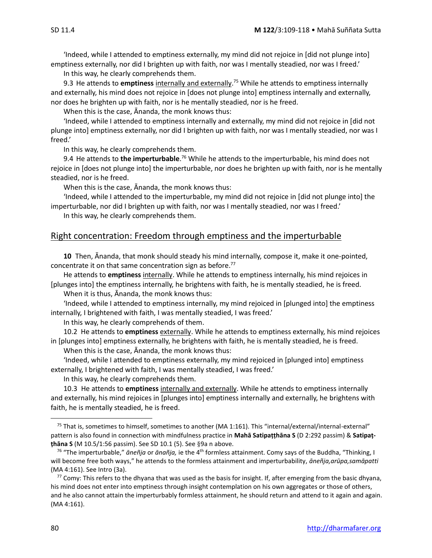'Indeed, while I attended to emptiness externally, my mind did not rejoice in [did not plunge into] emptiness externally, nor did I brighten up with faith, nor was I mentally steadied, nor was I freed.'

In this way, he clearly comprehends them.

9.3 He attends to **emptiness** internally and externally. <sup>75</sup> While he attends to emptiness internally and externally, his mind does not rejoice in [does not plunge into] emptiness internally and externally, nor does he brighten up with faith, nor is he mentally steadied, nor is he freed.

When this is the case, Ānanda, the monk knows thus:

'Indeed, while I attended to emptiness internally and externally, my mind did not rejoice in [did not plunge into] emptiness externally, nor did I brighten up with faith, nor was I mentally steadied, nor was I freed.'

In this way, he clearly comprehends them.

9.4 He attends to **the imperturbable**. <sup>76</sup> While he attends to the imperturbable, his mind does not rejoice in [does not plunge into] the imperturbable, nor does he brighten up with faith, nor is he mentally steadied, nor is he freed.

When this is the case, Ānanda, the monk knows thus:

'Indeed, while I attended to the imperturbable, my mind did not rejoice in [did not plunge into] the imperturbable, nor did I brighten up with faith, nor was I mentally steadied, nor was I freed.'

In this way, he clearly comprehends them.

## Right concentration: Freedom through emptiness and the imperturbable

**10** Then, Ānanda, that monk should steady his mind internally, compose it, make it one-pointed, concentrate it on that same concentration sign as before.<sup>77</sup>

He attends to **emptiness** internally. While he attends to emptiness internally, his mind rejoices in [plunges into] the emptiness internally, he brightens with faith, he is mentally steadied, he is freed.

When it is thus, Ānanda, the monk knows thus:

'Indeed, while I attended to emptiness internally, my mind rejoiced in [plunged into] the emptiness internally, I brightened with faith, I was mentally steadied, I was freed.'

In this way, he clearly comprehends of them.

10.2He attends to **emptiness** externally. While he attends to emptiness externally, his mind rejoices in [plunges into] emptiness externally, he brightens with faith, he is mentally steadied, he is freed.

When this is the case, Ānanda, the monk knows thus:

'Indeed, while I attended to emptiness externally, my mind rejoiced in [plunged into] emptiness externally, I brightened with faith, I was mentally steadied, I was freed.'

In this way, he clearly comprehends them.

10.3He attends to **emptiness** internally and externally. While he attends to emptiness internally and externally, his mind rejoices in [plunges into] emptiness internally and externally, he brightens with faith, he is mentally steadied, he is freed.

<sup>&</sup>lt;sup>75</sup> That is, sometimes to himself, sometimes to another (MA 1:161). This "internal/external/internal-external" pattern is also found in connection with mindfulness practice in **Mahā Satipaṭṭhāna S** (D 2:292 passim) & **Satipaṭthāna S** (M 10.5/1:56 passim). See SD 10.1 (5). See §9a n above.

<sup>76</sup> "The imperturbable," *āneñja* or *ānañja,* ie the 4th formless attainment. Comy says of the Buddha, "Thinking, I will become free both ways," he attends to the formless attainment and imperturbability, *āneñja,arūpa,samāpatti* (MA 4:161). See Intro (3a).

 $77$  Comy: This refers to the dhyana that was used as the basis for insight. If, after emerging from the basic dhyana, his mind does not enter into emptiness through insight contemplation on his own aggregates or those of others, and he also cannot attain the imperturbably formless attainment, he should return and attend to it again and again. (MA 4:161).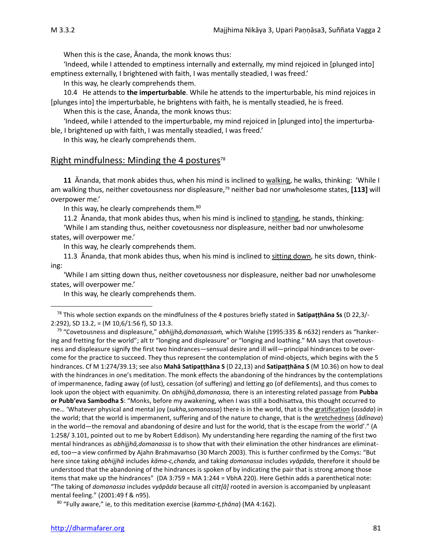When this is the case, Ānanda, the monk knows thus:

'Indeed, while I attended to emptiness internally and externally, my mind rejoiced in [plunged into] emptiness externally, I brightened with faith, I was mentally steadied, I was freed.'

In this way, he clearly comprehends them.

10.4He attends to **the imperturbable**. While he attends to the imperturbable, his mind rejoices in [plunges into] the imperturbable, he brightens with faith, he is mentally steadied, he is freed.

When this is the case, Ānanda, the monk knows thus:

'Indeed, while I attended to the imperturbable, my mind rejoiced in [plunged into] the imperturbable, I brightened up with faith, I was mentally steadied, I was freed.'

In this way, he clearly comprehends them.

## Right mindfulness: Minding the 4 postures $78$

**11** Ānanda, that monk abides thus, when his mind is inclined to walking, he walks, thinking: 'While I am walking thus, neither covetousness nor displeasure, <sup>79</sup> neither bad nor unwholesome states, **[113]** will overpower me.'

In this way, he clearly comprehends them.<sup>80</sup>

11.2Ānanda, that monk abides thus, when his mind is inclined to standing, he stands, thinking: 'While I am standing thus, neither covetousness nor displeasure, neither bad nor unwholesome states, will overpower me.'

In this way, he clearly comprehends them.

11.3Ānanda, that monk abides thus, when his mind is inclined to sitting down, he sits down, thinking:

'While I am sitting down thus, neither covetousness nor displeasure, neither bad nor unwholesome states, will overpower me.'

In this way, he clearly comprehends them.

<sup>78</sup> This whole section expands on the mindfulness of the 4 postures briefly stated in **Satipaṭṭhāna Ss** (D 22,3/- 2:292), SD 13.2, = (M 10,6/1:56 f), SD 13.3.

<sup>79</sup> "Covetousness and displeasure," *abhijjhā,domanassaṁ,* which Walshe (1995:335 & n632) renders as "hankering and fretting for the world"; alt tr "longing and displeasure" or "longing and loathing." MA says that covetousness and displeasure signify the first two hindrances—sensual desire and ill will—principal hindrances to be overcome for the practice to succeed. They thus represent the contemplation of mind-objects, which begins with the 5 hindrances. Cf M 1:274/39.13; see also **Mahā Satipaṭṭhāna S** (D 22,13) and **Satipaṭṭhāna S** (M 10.36) on how to deal with the hindrances in one's meditation. The monk effects the abandoning of the hindrances by the contemplations of impermanence, fading away (of lust), cessation (of suffering) and letting go (of defilements), and thus comes to look upon the object with equanimity. On *abhijjhā,domanassa,* there is an interesting related passage from **Pubba or Pubb'eva Sambodha S**: "Monks, before my awakening, when I was still a bodhisattva, this thought occurred to me… 'Whatever physical and mental joy (*sukha,somanassa*) there is in the world, that is the gratification (*assāda*) in the world; that the world is impermanent, suffering and of the nature to change, that is the wretchedness (*ādīnava*) in the world—the removal and abandoning of desire and lust for the world, that is the escape from the world'." (A 1:258/ 3.101, pointed out to me by Robert Eddison). My understanding here regarding the naming of the first two mental hindrances as *abhijjhā,domanassa* is to show that with their elimination the other hindrances are eliminated, too—a view confirmed by Ajahn Brahmavaṁso (30 March 2003). This is further confirmed by the Comys: "But here since taking *abhijjhā* includes *kāma-c,chanda,* and taking *domanassa* includes *vyāpāda,* therefore it should be understood that the abandoning of the hindrances is spoken of by indicating the pair that is strong among those items that make up the hindrances" (DA 3:759 = MA 1:244 = VbhA 220). Here Gethin adds a parenthetical note: "The taking of *domanassa* includes *vyāpāda* because all *citt[ā]* rooted in aversion is accompanied by unpleasant mental feeling." (2001:49 f & n95).

<sup>80</sup> "Fully aware," ie, to this meditation exercise (*kamma-ṭ,ṭhāna*) (MA 4:162).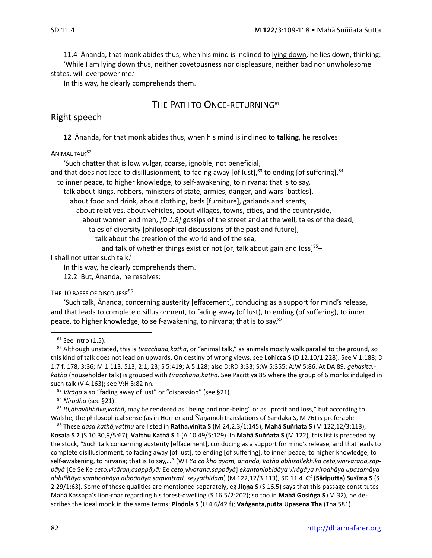11.4Ānanda, that monk abides thus, when his mind is inclined to lying down, he lies down, thinking: 'While I am lying down thus, neither covetousness nor displeasure, neither bad nor unwholesome states, will overpower me.'

In this way, he clearly comprehends them.

## THE PATH TO ONCE-RETURNING<sup>81</sup>

## Right speech

**12** Ānanda, for that monk abides thus, when his mind is inclined to **talking**, he resolves:

#### ANIMAL TALK<sup>82</sup>

'Such chatter that is low, vulgar, coarse, ignoble, not beneficial,

and that does not lead to disillusionment, to fading away [of lust], $^{83}$  to ending [of suffering], $^{84}$ 

to inner peace, to higher knowledge, to self-awakening, to nirvana; that is to say,

talk about kings, robbers, ministers of state, armies, danger, and wars [battles],

about food and drink, about clothing, beds [furniture], garlands and scents,

about relatives, about vehicles, about villages, towns, cities, and the countryside,

about women and men, *[D 1:8]* gossips of the street and at the well, tales of the dead,

tales of diversity [philosophical discussions of the past and future],

talk about the creation of the world and of the sea,

and talk of whether things exist or not [or, talk about gain and loss]<sup>85</sup>-

I shall not utter such talk.'

In this way, he clearly comprehends them.

12.2 But, Ānanda, he resolves:

THE 10 BASES OF DISCOURSE<sup>86</sup>

'Such talk, Ānanda, concerning austerity [effacement], conducing as a support for mind's release, and that leads to complete disillusionment, to fading away (of lust), to ending (of suffering), to inner peace, to higher knowledge, to self-awakening, to nirvana; that is to say,<sup>87</sup>

<sup>82</sup> Although unstated, this is *tiracchāna,kathā*, or "animal talk," as animals mostly walk parallel to the ground, so this kind of talk does not lead on upwards. On destiny of wrong views, see **Lohicca S** (D 12.10/1:228). See V 1:188; D 1:7 f, 178, 3:36; M 1:113, 513, 2:1, 23; S 5:419; A 5:128; also D:RD 3:33; S:W 5:355; A:W 5:86. At DA 89, *gehasita, kathā* (householder talk) is grouped with *tiracchāna,kathā.* See Pācittiya 85 where the group of 6 monks indulged in such talk (V 4:163); see V:H 3:82 nn.

<sup>83</sup> *Virāga* also "fading away of lust" or "dispassion" (see §21).

<sup>84</sup> *Nirodha* (see §21).

<sup>85</sup> *Iti,bhavbhāva,kathā*, may be rendered as "being and non-being" or as "profit and loss," but according to Walshe, the philosophical sense (as in Horner and Ñāṇamoli translations of Sandaka S, M 76) is preferable.

<sup>86</sup> These *dasa kathā,vatthu* are listed in **Ratha,vinīta S** (M 24,2.3/1:145), **Mahā Suññata S** (M 122,12/3:113), **Kosala S 2** (S 10.30,9/5:67), **Vatthu Kathā S 1** (A 10.49/5:129). In **Mahā Suññata S** (M 122), this list is preceded by the stock, "Such talk concerning austerity [effacement], conducing as a support for mind's release, and that leads to complete disillusionment, to fading away [of lust], to ending [of suffering], to inner peace, to higher knowledge, to self-awakening, to nirvana; that is to say,…" (WT *Yā ca kho ayaṃ, ānanda, kathā abhisallekhikā ceto,vinīvaraṇa,sappāyā* [Ce Se Ke *ceto,vicāraṇ,asappāyā;* Ee *ceto,vivaraṇa,sappāyā*] *ekantanibbidāya virāgāya nirodhāya upasamāya abhiññāya sambodhāya nibbānāya saṃvattati, seyyathidaṃ*) (M 122,12/3:113), SD 11.4. Cf **(Sāriputta) Susīma S** (S 2.29/1:63). Some of these qualities are mentioned separately, eg **Jiṇṇa S** (S 16.5) says that this passage constitutes Mahā Kassapa's lion-roar regarding his forest-dwelling (S 16.5/2:202); so too in **Mahā Gosiṅga S** (M 32), he describes the ideal monk in the same terms; **Piṇḍola S** (U 4.6/42 f); **Vaṅganta,putta Upasena Tha** (Tha 581).

 $81$  See Intro (1.5).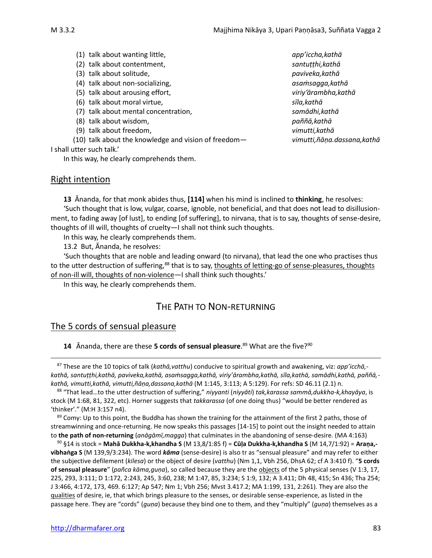(1) talk about wanting little, *app'iccha,kathā* (2) talk about contentment, *santuṭṭhi,kathā* (3) talk about solitude, *paviveka,kathā* (4) talk about non-socializing, *asaṁsagga,kathā* (5) talk about arousing effort, *viriy'ārambha,kathā* (6) talk about moral virtue, *sīla,kathā* (7) talk about mental concentration, *samādhi,kathā* (8) talk about wisdom, *paññā,kathā* (9) talk about freedom, *vimutti,kathā* (10) talk about the knowledge and vision of freedom— *vimutti,ñāṇa.dassana,kathā* I shall utter such talk.'

In this way, he clearly comprehends them.

## Right intention

**13** Ānanda, for that monk abides thus, **[114]** when his mind is inclined to **thinking**, he resolves:

'Such thought that is low, vulgar, coarse, ignoble, not beneficial, and that does not lead to disillusionment, to fading away [of lust], to ending [of suffering], to nirvana, that is to say, thoughts of sense-desire, thoughts of ill will, thoughts of cruelty—I shall not think such thoughts.

In this way, he clearly comprehends them.

13.2But, Ānanda, he resolves:

'Such thoughts that are noble and leading onward (to nirvana), that lead the one who practises thus to the utter destruction of suffering,<sup>88</sup> that is to say, thoughts of letting-go of sense-pleasures, thoughts of non-ill will, thoughts of non-violence—I shall think such thoughts.'

In this way, he clearly comprehends them.

## THE PATH TO NON-RETURNING

## The 5 cords of sensual pleasure

#### **14** Ananda, there are these **5 cords of sensual pleasure**.<sup>89</sup> What are the five?<sup>90</sup>

<sup>89</sup> Comy: Up to this point, the Buddha has shown the training for the attainment of the first 2 paths, those of streamwinning and once-returning. He now speaks this passages [14-15] to point out the insight needed to attain to **the path of non-returning** (*anāgāmī,magga*) that culminates in the abandoning of sense-desire. (MA 4:163)

<sup>90</sup> §14 is stock = **Mahā Dukkha-k,khandha S** (M 13,8/1:85 f) = **Cūḷa Dukkha-k,khandha S** (M 14,7/1:92) = **Araṇa, vibhaṅga S** (M 139,9/3:234). The word *kāma* (sense-desire) is also tr as "sensual pleasure" and may refer to either the subjective defilement (*kilesa*) or the object of desire (*vatthu*) (Nm 1,1, Vbh 256, DhsA 62; cf A 3:410 f). "**5 cords of sensual pleasure**" (*pañca kāma,guṇa*), so called because they are the objects of the 5 physical senses (V 1:3, 17, 225, 293, 3:111; D 1:172, 2:243, 245, 3:60, 238; M 1:47, 85, 3:234; S 1:9, 132; A 3.411; Dh 48, 415; Sn 436; Tha 254; J 3:466, 4:172, 173, 469. 6:127; Ap 547; Nm 1; Vbh 256; Mvst 3.417.2; MA 1:199, 131, 2:261). They are also the qualities of desire, ie, that which brings pleasure to the senses, or desirable sense-experience, as listed in the passage here. They are "cords" (*guṇa*) because they bind one to them, and they "multiply" (*guṇa*) themselves as a

<sup>87</sup> These are the 10 topics of talk (*kathā,vatthu*) conducive to spiritual growth and awakening, viz: *app'icchā, kathā, santuṭṭhi,kathā, paviveka,kathā, asaṁsagga,kathā, viriy'ārambha,kathā, sīla,kathā, samādhi,kathā, paññā, kathā, vimutti,kathā, vimutti,ñāṇa,dassana,kathā* (M 1:145, 3:113; A 5:129). For refs: SD 46.11 (2.1) n.

<sup>88</sup> "That lead…to the utter destruction of suffering," *niyyanti* (*niyyāti*) *tak,karassa sammā,dukkha-k,khayāya*, is stock (M 1:68, 81, 322, etc). Horner suggests that *takkarassa* (of one doing thus) "would be better rendered as 'thinker'." (M:H 3:157 n4).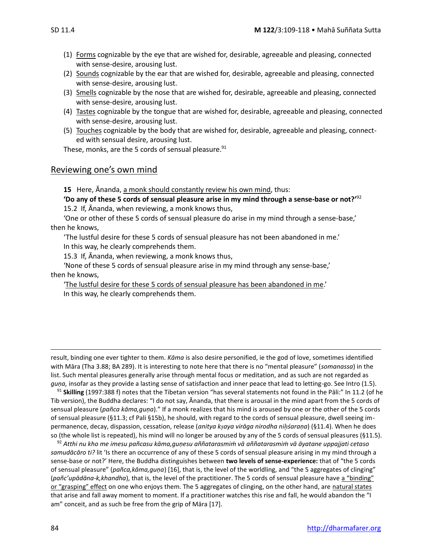- (1) Forms cognizable by the eye that are wished for, desirable, agreeable and pleasing, connected with sense-desire, arousing lust.
- (2) Sounds cognizable by the ear that are wished for, desirable, agreeable and pleasing, connected with sense-desire, arousing lust.
- (3) Smells cognizable by the nose that are wished for, desirable, agreeable and pleasing, connected with sense-desire, arousing lust.
- (4) Tastes cognizable by the tongue that are wished for, desirable, agreeable and pleasing, connected with sense-desire, arousing lust.
- (5) Touches cognizable by the body that are wished for, desirable, agreeable and pleasing, connected with sensual desire, arousing lust.

These, monks, are the 5 cords of sensual pleasure.<sup>91</sup>

## Reviewing one's own mind

**15** Here, Ānanda, a monk should constantly review his own mind, thus:

**'Do any of these 5 cords of sensual pleasure arise in my mind through a sense-base or not?'**<sup>92</sup> 15.2If, Ānanda, when reviewing, a monk knows thus,

'One or other of these 5 cords of sensual pleasure do arise in my mind through a sense-base,' then he knows,

'The lustful desire for these 5 cords of sensual pleasure has not been abandoned in me.' In this way, he clearly comprehends them.

15.3If, Ānanda, when reviewing, a monk knows thus,

'None of these 5 cords of sensual pleasure arise in my mind through any sense-base,' then he knows,

'The lustful desire for these 5 cords of sensual pleasure has been abandoned in me.' In this way, he clearly comprehends them.

result, binding one ever tighter to them. *Kāma* is also desire personified, ie the god of love, sometimes identified with Māra (Tha 3.88; BA 289). It is interesting to note here that there is no "mental pleasure" (*somanassa*) in the list. Such mental pleasures generally arise through mental focus or meditation, and as such are not regarded as *guṇa,* insofar as they provide a lasting sense of satisfaction and inner peace that lead to letting-go. See Intro (1.5).

<sup>91</sup> **Skilling** (1997:388 f) notes that the Tibetan version "has several statements not found in the Pāli:" In 11.2 (of he Tib version), the Buddha declares: "I do not say, Ānanda, that there is arousal in the mind apart from the 5 cords of sensual pleasure (*pañca kāma,guṇa*)." If a monk realizes that his mind is aroused by one or the other of the 5 cords of sensual pleasure (§11.3; cf Pali §15b), he should, with regard to the cords of sensual pleasure, dwell seeing impermanence, decay, dispassion, cessation, release (*anitya kaya virāga nirodha niśaraṇa*) (§11.4). When he does so (the whole list is repeated), his mind will no longer be aroused by any of the 5 cords of sensual pleasures ( $§11.5$ ).

<sup>92</sup> *Atthi nu kho me imesu pañcasu kāma,guṇesu aññatarasmiṁ vā aññatarasmiṁ vā āyatane uppajjati cetaso samudācāro ti?* lit 'Is there an occurrence of any of these 5 cords of sensual pleasure arising in my mind through a sense-base or not?' Here, the Buddha distinguishes between **two levels of sense-experience:** that of "the 5 cords of sensual pleasure" (*pañca,kāma,guṇa*) [16], that is, the level of the worldling, and "the 5 aggregates of clinging" (*pañc'upādāna-k,khandha*), that is, the level of the practitioner. The 5 cords of sensual pleasure have a "binding" or "grasping" effect on one who enjoys them. The 5 aggregates of clinging, on the other hand, are natural states that arise and fall away moment to moment. If a practitioner watches this rise and fall, he would abandon the "I am" conceit, and as such be free from the grip of Māra [17].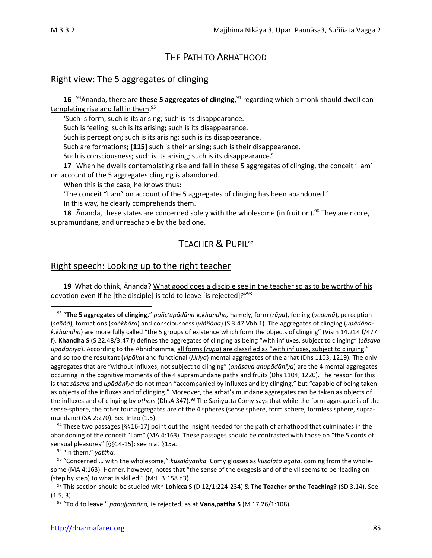# THE PATH TO ARHATHOOD

## Right view: The 5 aggregates of clinging

**16** <sup>93</sup>Ānanda, there are **these 5 aggregates of clinging,** <sup>94</sup> regarding which a monk should dwell contemplating rise and fall in them,<sup>95</sup>

'Such is form; such is its arising; such is its disappearance.

Such is feeling; such is its arising; such is its disappearance.

Such is perception; such is its arising; such is its disappearance.

Such are formations; **[115]** such is their arising; such is their disappearance.

Such is consciousness; such is its arising; such is its disappearance.'

**17** When he dwells contemplating rise and fall in these 5 aggregates of clinging, the conceit 'I am' on account of the 5 aggregates clinging is abandoned.

When this is the case, he knows thus:

'The conceit "I am" on account of the 5 aggregates of clinging has been abandoned.'

In this way, he clearly comprehends them.

**18** Ānanda, these states are concerned solely with the wholesome (in fruition).<sup>96</sup> They are noble, supramundane, and unreachable by the bad one.

# TEACHER & PUPIL<sup>97</sup>

## Right speech: Looking up to the right teacher

**19** What do think, Ānanda? What good does a disciple see in the teacher so as to be worthy of his devotion even if he [the disciple] is told to leave [is rejected]?"<sup>98</sup>

94 These two passages [§§16-17] point out the insight needed for the path of arhathood that culminates in the abandoning of the conceit "I am" (MA 4:163). These passages should be contrasted with those on "the 5 cords of sensual pleasures" [§§14-15]: see n at §15a.

<sup>95</sup> "In them," *yattha.*

<sup>96</sup> "Concerned … with the wholesome," *kusalâyatikā.* Comy glosses as *kusalato āgatā,* coming from the wholesome (MA 4:163). Horner, however, notes that "the sense of the exegesis and of the vll seems to be 'leading on (step by step) to what is skilled'" (M:H 3:158 n3).

<sup>97</sup> This section should be studied with **Lohicca S** (D 12/1:224-234) & **The Teacher or the Teaching?** (SD 3.14). See (1.5, 3).

<sup>98</sup> "Told to leave," *panujjamāno,* ie rejected, as at **Vana,pattha S** (M 17,26/1:108).

<sup>93</sup> "**The 5 aggregates of clinging**," *pañc'upādāna-k,khandha,* namely, form (*rūpa*), feeling (*vedanā*), perception (*saññā*), formations (*saṅkhāra*) and consciousness (*viññāṇa*) (S 3:47 Vbh 1). The aggregates of clinging (*upādānak,khandha*) are more fully called "the 5 groups of existence which form the objects of clinging" (Vism 14.214 f/477 f). **Khandha S** (S 22.48/3:47 f) defines the aggregates of clinging as being "with influxes, subject to clinging" (*sâsava upādānīya*). According to the Abhidhamma, all forms (*rūpā*) are classified as "with influxes, subject to clinging," and so too the resultant (*vipāka*) and functional (*kiriya*) mental aggregates of the arhat (Dhs 1103, 1219). The only aggregates that are "without influxes, not subject to clinging" (*anâsava anupādānīya*) are the 4 mental aggregates occurring in the cognitive moments of the 4 supramundane paths and fruits (Dhs 1104, 1220). The reason for this is that *sâsava* and *upādānīya* do not mean "accompanied by influxes and by clinging," but "capable of being taken as objects of the influxes and of clinging." Moreover, the arhat's mundane aggregates can be taken as objects of the influxes and of clinging by *others* (DhsA 347).<sup>93</sup> The Saṁyutta Comy says that while the form aggregate is of the sense-sphere, the other four aggregates are of the 4 spheres (sense sphere, form sphere, formless sphere, supramundane) (SA 2:270). See Intro (1.5).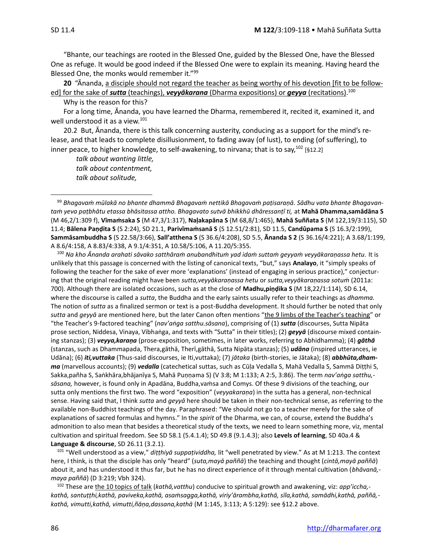"Bhante, our teachings are rooted in the Blessed One, guided by the Blessed One, have the Blessed One as refuge. It would be good indeed if the Blessed One were to explain its meaning. Having heard the Blessed One, the monks would remember it."<sup>99</sup>

**20** "Ānanda, a disciple should not regard the teacher as being worthy of his devotion [fit to be followed] for the sake of *sutta* (teachings), *veyyākarana* (Dharma expositions) or *geyya* (recitations). 100

Why is the reason for this?

For a long time, Ānanda, you have learned the Dharma, remembered it, recited it, examined it, and well understood it as a view.<sup>101</sup>

20.2But, Ānanda, there is this talk concerning austerity, conducing as a support for the mind's release, and that leads to complete disillusionment, to fading away (of lust), to ending (of suffering), to inner peace, to higher knowledge, to self-awakening, to nirvana; that is to say,<sup>102</sup> [§12.2]

*talk about wanting little, talk about contentment, talk about solitude,* 

<sup>100</sup> *Na kho Ānanda arahati sāvako satthāraṁ anubandhituṁ yad idaṁ suttaṁ geyyaṁ veyyākaraṇassa hetu.* It is unlikely that this passage is concerned with the listing of canonical texts, "but," says **Analayo**, it "simply speaks of following the teacher for the sake of ever more 'explanations' (instead of engaging in serious practice)," conjecturing that the original reading might have been *sutta,veyyākaraṇassa hetu* or *sutta,veyyākaraṇassa sotuṁ* (2011a: 700). Although there are isolated occasions, such as at the close of **Madhu,piṇḍika S** (M 18,22/1:114), SD 6.14, where the discourse is called a *sutta*, the Buddha and the early saints usually refer to their teachings as *dhamma.*  The notion of *sutta* as a finalized sermon or text is a post-Buddha development. It should further be noted that only *sutta* and *geyyā* are mentioned here, but the later Canon often mentions "the 9 limbs of the Teacher's teaching" or "the Teacher's 9-factored teaching" (*nav'aṅga satthu.sāsana*), comprising of (1) *sutta* (discourses, Sutta Nipāta prose section, Niddesa, Vinaya, Vibhaṅga, and texts with "Sutta" in their titles); (2) *geyyā* (discourse mixed containing stanzas); (3) *veyya,karaṇa* (prose-exposition, sometimes, in later works, referring to Abhidhamma); (4) *gāthā* (stanzas, such as Dhammapada, Thera,gāthā, Therī,gāthā, Sutta Nipāta stanzas); (5) *udāna* (inspired utterances, ie Udāna); (6) *iti,vuttaka* (Thus-said discourses, ie Iti,vuttaka); (7) *jātaka* (birth-stories, ie Jātaka); (8) *abbhūta,dhamma* (marvellous accounts); (9) *vedalla* (catechetical suttas, such as Cūḷa Vedalla S, Mahā Vedalla S, Sammā Diṭṭhi S, Sakka,pañha S, Saṅkhāra,bhājanīya S, Mahā Puṇṇama S) (V 3:8; M 1:133; A 2:5, 3:86). The term *nav'aṅga satthu, sāsana,* however, is found only in Apadāna, Buddha,vaṁsa and Comys. Of these 9 divisions of the teaching, our sutta only mentions the first two. The word "exposition" (*veyyakaraṇa*) in the sutta has a general, non-technical sense. Having said that, I think *sutta* and *geyyā* here should be taken in their non-technical sense, as referring to the available non-Buddhist teachings of the day. Paraphrased: "We should not go to a teacher merely for the sake of explanations of sacred formulas and hymns." In the *spirit* of the Dharma, we can, of course, extend the Buddha's admonition to also mean that besides a theoretical study of the texts, we need to learn something more, viz, mental cultivation and spiritual freedom. See SD 58.1 (5.4.1.4); SD 49.8 (9.1.4.3); also **Levels of learning**, SD 40a.4 & **Language & discourse**, SD 26.11 (3.2.1).

<sup>101</sup> "Well understood as a view," *diṭṭhiyā suppaṭividdha,* lit "well penetrated by view." As at M 1:213. The context here, I think, is that the disciple has only "heard" (*suta,mayā paññā*) the teaching and thought (*cintā,mayā paññā*) about it, and has understood it thus far, but he has no direct experience of it through mental cultivation (*bhāvanā, maya paññā*) (D 3:219; Vbh 324).

<sup>102</sup> These are the 10 topics of talk (*kathā,vatthu*) conducive to spiritual growth and awakening, viz: *app'iccha, kathā, santuṭṭhi,kathā, paviveka,kathā, asaṁsagga,kathā, viriy'ārambha,kathā, sīla,kathā, samādhi,kathā, paññā, kathā, vimutti,kathā, vimutti,ñāṇa,dassana,kathā* (M 1:145, 3:113; A 5:129): see §12.2 above.

<sup>99</sup> *Bhagavaṁ mūlakā no bhante dhammā Bhagavaṁ nettikā Bhagavaṁ paṭisaraṇā. Sādhu vata bhante Bhagavantaṁ yeva paṭbhātu etassa bhāsitassa attho. Bhagavato sutvā bhikkhū dhāressanṭî ti,* at **Mahā Dhamma,samādāna S**  (M 46,2/1:309 f), **Vīmaṁsaka S** (M 47,3/1:317), **Naḷakapāna S** (M 68,8/1:465), **Mahā Suññata S** (M 122,19/3:115), SD 11.4; **Bālena Paṇḍita S** (S 2:24), SD 21.1, **Parivīmaṁsanā S** (S 12.51/2:81), SD 11.5, **Candûpama S** (S 16.3/2:199), **Sammāsambuddha S** (S 22.58/3:66), **Sall'atthena S** (S 36.6/4:208), SD 5.5, **Ānanda S 2** (S 36.16/4:221); A 3.68/1:199, A 8.6/4:158, A 8.83/4:338, A 9.1/4:351, A 10.58/5:106, A 11.20/5:355.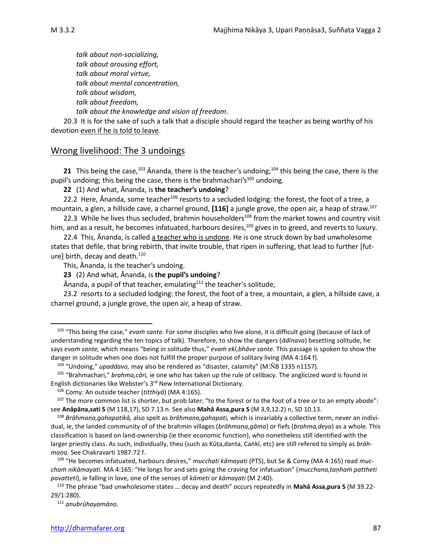*talk about non-socializing, talk about arousing effort, talk about moral virtue, talk about mental concentration, talk about wisdom, talk about freedom, talk about the knowledge and vision of freedom*.

20.3 It is for the sake of such a talk that a disciple should regard the teacher as being worthy of his devotion even if he is told to leave.

## Wrong livelihood: The 3 undoings

21 This being the case,<sup>103</sup> Ānanda, there is the teacher's undoing;<sup>104</sup> this being the case, there is the pupil's undoing; this being the case, there is the brahmachari's<sup>105</sup> undoing.

**22** (1) And what, Ānanda, is **the teacher's undoing**?

22.2 Here, Ānanda, some teacher<sup>106</sup> resorts to a secluded lodging: the forest, the foot of a tree, a mountain, a glen, a hillside cave, a charnel ground, **[116]** a jungle grove, the open air, a heap of straw.<sup>107</sup>

22.3 While he lives thus secluded, brahmin householders<sup>108</sup> from the market towns and country visit him, and as a result, he becomes infatuated, harbours desires,<sup>109</sup> gives in to greed, and reverts to luxury.

22.4 This, Ānanda, is called a teacher who is undone. He is one struck down by bad unwholesome states that defile, that bring rebirth, that invite trouble, that ripen in suffering, that lead to further [future] birth, decay and death.<sup>110</sup>

This, Ānanda, is the teacher's undoing.

#### **23** (2) And what, Ānanda, is **the pupil's undoing**?

Ānanda, a pupil of that teacher, emulating $111$  the teacher's solitude,

23.2 resorts to a secluded lodging: the forest, the foot of a tree, a mountain, a glen, a hillside cave, a charnel ground, a jungle grove, the open air, a heap of straw.

<sup>111</sup> *anubrūhayamāno.*

<sup>103</sup> "This being the case," *evaṁ sante.* For some disciples who live alone, it is difficult going (because of lack of understanding regarding the ten topics of talk). Therefore, to show the dangers (*ādīnava*) besetting solitude, he says *evaṁ sante,* which means "being in solitude thus," *evaṁ ekī,bhāve sante.* This passage is spoken to show the danger in solitude when one does not fulfill the proper purpose of solitary living (MA 4:164 f).

<sup>&</sup>lt;sup>104</sup> "Undoing," *upaddavo*, may also be rendered as "disaster, calamity" (M:NB 1335 n1157).

<sup>105</sup> "Brahmachari," *brahma,cāri,* ie one who has taken up the rule of celibacy*.* The anglicized word is found in English dictionaries like Webster's 3rd New International Dictionary.

<sup>106</sup> Comy: An outside teacher (*titthiyā*) (MA 4:165).

<sup>&</sup>lt;sup>107</sup> The more common list is shorter, but prob later: "to the forest or to the foot of a tree or to an empty abode": see **Anāpāna,sati S** (M 118,17), SD 7.13 n. See also **Mahā Assa,pura S** (M 3,9,12.2) n, SD 10.13.

<sup>108</sup> *Brāhmaṇa,gahapatikā,* also spelt as *brāhmaṇa,gahapati,* which is invariably a collective term, never an individual, ie, the landed community of of the brahmin villages (*brāhmaṇa,gāma*) or fiefs (*brahma,deya*) as a whole. This classification is based on land-ownership (ie their economic function), who nonetheless still identified with the larger priestly class. As such, individually, theu (such as Kūṭa,danta, Caṅkī, etc) are still refered to simply as *brāhmaṇa.* See Chakravarti 1987:72 f.

<sup>109</sup> "He becomes infatuated, harbours desires," *mucchati kāmayati* (PTS), but Se & Comy (MA 4:165) read *mucchaṁ nikāmayati.* MA 4:165: "He longs for and sets going the craving for infatuation" (*mucchana,taṇhaṁ pattheti pavatteti*), ie falling in love, one of the senses of *kāmeti* or *kāmayati* (M 2:40).

<sup>110</sup> The phrase "bad unwholesome states … decay and death" occurs repeatedly in **Mahā Assa,pura S** (M 39.22- 29/1:280).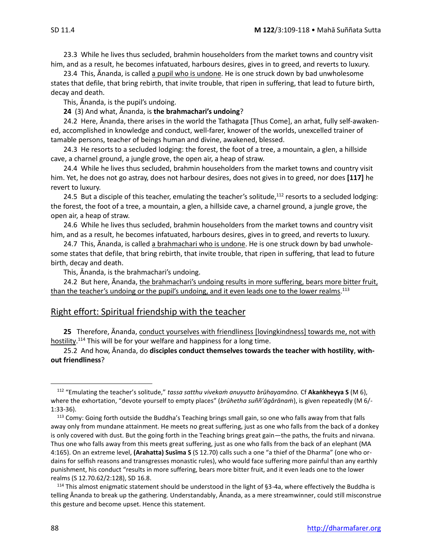23.3 While he lives thus secluded, brahmin householders from the market towns and country visit him, and as a result, he becomes infatuated, harbours desires, gives in to greed, and reverts to luxury.

23.4 This, Ānanda, is called a pupil who is undone. He is one struck down by bad unwholesome states that defile, that bring rebirth, that invite trouble, that ripen in suffering, that lead to future birth, decay and death.

This, Ānanda, is the pupil's undoing.

**24** (3) And what, Ānanda, is **the brahmachari's undoing**?

24.2 Here, Ānanda, there arises in the world the Tathagata [Thus Come], an arhat, fully self-awakened, accomplished in knowledge and conduct, well-farer, knower of the worlds, unexcelled trainer of tamable persons, teacher of beings human and divine, awakened, blessed.

24.3 He resorts to a secluded lodging: the forest, the foot of a tree, a mountain, a glen, a hillside cave, a charnel ground, a jungle grove, the open air, a heap of straw.

24.4 While he lives thus secluded, brahmin householders from the market towns and country visit him. Yet, he does not go astray, does not harbour desires, does not gives in to greed, nor does **[117]** he revert to luxury.

24.5 But a disciple of this teacher, emulating the teacher's solitude,<sup>112</sup> resorts to a secluded lodging: the forest, the foot of a tree, a mountain, a glen, a hillside cave, a charnel ground, a jungle grove, the open air, a heap of straw.

24.6 While he lives thus secluded, brahmin householders from the market towns and country visit him, and as a result, he becomes infatuated, harbours desires, gives in to greed, and reverts to luxury.

24.7 This, Ānanda, is called a brahmachari who is undone. He is one struck down by bad unwholesome states that defile, that bring rebirth, that invite trouble, that ripen in suffering, that lead to future birth, decay and death.

This, Ānanda, is the brahmachari's undoing.

24.2 But here, Ānanda, the brahmachari's undoing results in more suffering, bears more bitter fruit, than the teacher's undoing or the pupil's undoing, and it even leads one to the lower realms.<sup>113</sup>

### Right effort: Spiritual friendship with the teacher

**25** Therefore, Ānanda, conduct yourselves with friendliness [lovingkindness] towards me, not with hostility.<sup>114</sup> This will be for your welfare and happiness for a long time.

25.2And how, Ānanda, do **disciples conduct themselves towards the teacher with hostility**, **without friendliness**?

<sup>112</sup> "Emulating the teacher's solitude," *tassa satthu vivekaṁ anuyutto brūhayamāno.* Cf **Akaṅkheyya S** (M 6), where the exhortation, "devote yourself to empty places" (*brūhetha suññ'āgārānaṁ*), is given repeatedly (M 6/- 1:33-36).

<sup>&</sup>lt;sup>113</sup> Comy: Going forth outside the Buddha's Teaching brings small gain, so one who falls away from that falls away only from mundane attainment. He meets no great suffering, just as one who falls from the back of a donkey is only covered with dust. But the going forth in the Teaching brings great gain—the paths, the fruits and nirvana. Thus one who falls away from this meets great suffering, just as one who falls from the back of an elephant (MA 4:165). On an extreme level, **(Arahatta) Susīma S** (S 12.70) calls such a one "a thief of the Dharma" (one who ordains for selfish reasons and transgresses monastic rules), who would face suffering more painful than any earthly punishment, his conduct "results in more suffering, bears more bitter fruit, and it even leads one to the lower realms (S 12.70.62/2:128), SD 16.8.

<sup>&</sup>lt;sup>114</sup> This almost enigmatic statement should be understood in the light of §3-4a, where effectively the Buddha is telling Ānanda to break up the gathering. Understandably, Ānanda, as a mere streamwinner, could still misconstrue this gesture and become upset. Hence this statement.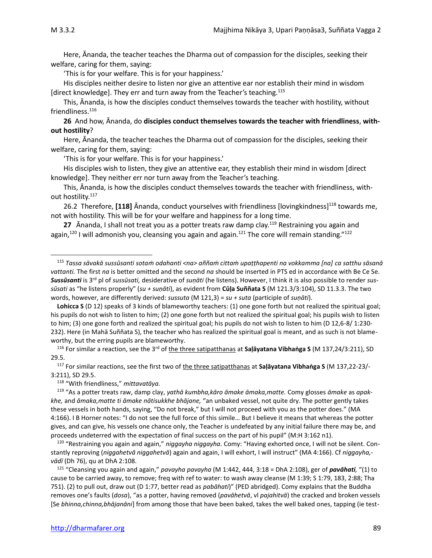Here, Ānanda, the teacher teaches the Dharma out of compassion for the disciples, seeking their welfare, caring for them, saying:

'This is for your welfare. This is for your happiness.'

His disciples neither desire to listen nor give an attentive ear nor establish their mind in wisdom [direct knowledge]. They err and turn away from the Teacher's teaching.<sup>115</sup>

This, Ānanda, is how the disciples conduct themselves towards the teacher with hostility, without friendliness. $116$ 

**26** And how, Ānanda, do **disciples conduct themselves towards the teacher with friendliness**, **without hostility**?

Here, Ānanda, the teacher teaches the Dharma out of compassion for the disciples, seeking their welfare, caring for them, saying:

'This is for your welfare. This is for your happiness.'

His disciples wish to listen, they give an attentive ear, they establish their mind in wisdom [direct knowledge]. They neither err nor turn away from the Teacher's teaching.

This, Ānanda, is how the disciples conduct themselves towards the teacher with friendliness, without hostility.<sup>117</sup>

26.2 Therefore, [118] Ānanda, conduct yourselves with friendliness [lovingkindness]<sup>118</sup> towards me, not with hostility. This will be for your welfare and happiness for a long time.

27 Ananda, I shall not treat you as a potter treats raw damp clay.<sup>119</sup> Restraining you again and again,<sup>120</sup> I will admonish you, cleansing you again and again.<sup>121</sup> The core will remain standing."<sup>122</sup>

<sup>116</sup> For similar a reaction, see the 3<sup>rd</sup> of the three satipatthanas at **Saļāyatana Vibhaṅga S** (M 137,24/3:211), SD 29.5.

<sup>117</sup> For similar reactions, see the first two of the three satipatthanas at **Saḷāyatana Vibhaṅga S** (M 137,22-23/- 3:211), SD 29.5.

<sup>118</sup> "With friendliness," *mittavatāya.*

<sup>115</sup> *Tassa sāvakā sussūsanti sotaṁ odahanti <na> aññaṁ cittaṁ upaṭṭhapenti na vokkamma [na] ca satthu sāsanā vattanti.* The first *na* is better omitted and the second *na* should be inserted in PTS ed in accordance with Be Ce Se. *Sussūsanti* is 3rd pl of *sussūsati,* desiderative of *suṇāti* (he listens). However, I think it is also possible to render *sussūsati* as "he listens properly" (*su + suṇāti*), as evident from **Cūḷa Suññata S** (M 121.3/3:104), SD 11.3.3. The two words, however, are differently derived: *sussuta* (M 121,3) = *su + suta* (participle of *suṇāti*).

Lohicca S (D 12) speaks of 3 kinds of blameworthy teachers: (1) one gone forth but not realized the spiritual goal; his pupils do not wish to listen to him; (2) one gone forth but not realized the spiritual goal; his pupils wish to listen to him; (3) one gone forth and realized the spiritual goal; his pupils do not wish to listen to him (D 12,6-8/ 1:230- 232). Here (in Mahā Suññata S), the teacher who has realized the spiritual goal is meant, and as such is not blameworthy, but the erring pupils are blameworthy.

<sup>119</sup> "As a potter treats raw, damp clay, *yathā kumbha,kāro āmake āmaka,matte.* Comy glosses *āmake* as *apakkhe,* and *āmaka,matte ti āmake nātisukkhe bhājane,* "an unbaked vessel, not quite dry. The potter gently takes these vessels in both hands, saying, "Do not break," but I will not proceed with you as the potter does." (MA 4:166). I B Horner notes: "I do not see the full force of this simile… But I believe it means that whereas the potter gives, and can give, his vessels one chance only, the Teacher is undefeated by any initial failure there may be, and proceeds undeterred with the expectation of final success on the part of his pupil" (M:H 3:162 n1).

<sup>120</sup> "Restraining you again and again," *niggayha niggayha.* Comy: "Having exhorted once, I will not be silent. Constantly reproving (*niggahetvā niggahetvā*) again and again, I will exhort, I will instruct" (MA 4:166). Cf *niggayha, vādī* (Dh 76), qu at DhA 2:108.

<sup>121</sup> "Cleansing you again and again," *pavayha pavayha* (M 1:442, 444, 3:18 = DhA 2:108), ger of *pavāhati,* "(1) to cause to be carried away, to remove; freq with ref to water: to wash away cleanse (M 1:39; S 1:79, 183, 2:88; Tha 751). (2) to pull out, draw out (D 1:77, better read as *pabāhati*)" (PED abridged). Comy explains that the Buddha removes one's faults (*dosa*), "as a potter, having removed (*pavāhetvā*, vl *pajahitvā*) the cracked and broken vessels [Se *bhinna,chinna,bhājanāni*] from among those that have been baked, takes the well baked ones, tapping (ie test-